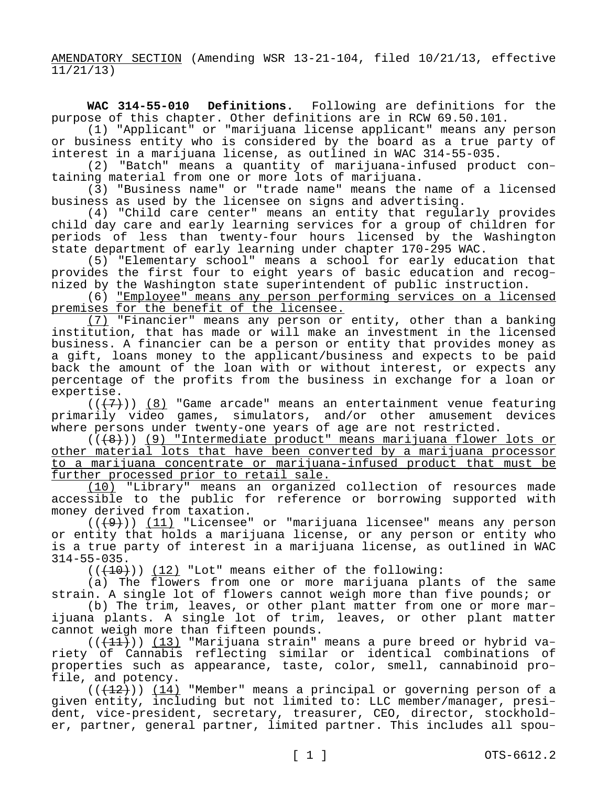AMENDATORY SECTION (Amending WSR 13-21-104, filed 10/21/13, effective 11/21/13)

**WAC 314-55-010 Definitions.** Following are definitions for the purpose of this chapter. Other definitions are in RCW 69.50.101.

(1) "Applicant" or "marijuana license applicant" means any person or business entity who is considered by the board as a true party of interest in a marijuana license, as outlined in WAC 314-55-035.

(2) "Batch" means a quantity of marijuana-infused product containing material from one or more lots of marijuana.

(3) "Business name" or "trade name" means the name of a licensed business as used by the licensee on signs and advertising.

(4) "Child care center" means an entity that regularly provides child day care and early learning services for a group of children for periods of less than twenty-four hours licensed by the Washington state department of early learning under chapter 170-295 WAC.

(5) "Elementary school" means a school for early education that provides the first four to eight years of basic education and recognized by the Washington state superintendent of public instruction.

(6) "Employee" means any person performing services on a licensed premises for the benefit of the licensee.

(7) "Financier" means any person or entity, other than a banking institution, that has made or will make an investment in the licensed business. A financier can be a person or entity that provides money as a gift, loans money to the applicant/business and expects to be paid back the amount of the loan with or without interest, or expects any percentage of the profits from the business in exchange for a loan or expertise.

 $((+7))$  (8) "Game arcade" means an entertainment venue featuring primarily video games, simulators, and/or other amusement devices where persons under twenty-one years of age are not restricted.

(((8))) (9) "Intermediate product" means marijuana flower lots or other material lots that have been converted by a marijuana processor to a marijuana concentrate or marijuana-infused product that must be further processed prior to retail sale.

(10) "Library" means an organized collection of resources made accessible to the public for reference or borrowing supported with money derived from taxation.

 $((+9))$   $(11)$  "Licensee" or "marijuana licensee" means any person or entity that holds a marijuana license, or any person or entity who is a true party of interest in a marijuana license, as outlined in WAC 314-55-035.

 $((+10))$   $(12)$  "Lot" means either of the following:

(a) The flowers from one or more marijuana plants of the same strain. A single lot of flowers cannot weigh more than five pounds; or

(b) The trim, leaves, or other plant matter from one or more marijuana plants. A single lot of trim, leaves, or other plant matter cannot weigh more than fifteen pounds.

 $((+11))$  (13) "Marijuana strain" means a pure breed or hybrid variety of Cannabis reflecting similar or identical combinations of properties such as appearance, taste, color, smell, cannabinoid profile, and potency.

 $((+12))$  (14) "Member" means a principal or governing person of a given entity, including but not limited to: LLC member/manager, president, vice-president, secretary, treasurer, CEO, director, stockholder, partner, general partner, limited partner. This includes all spou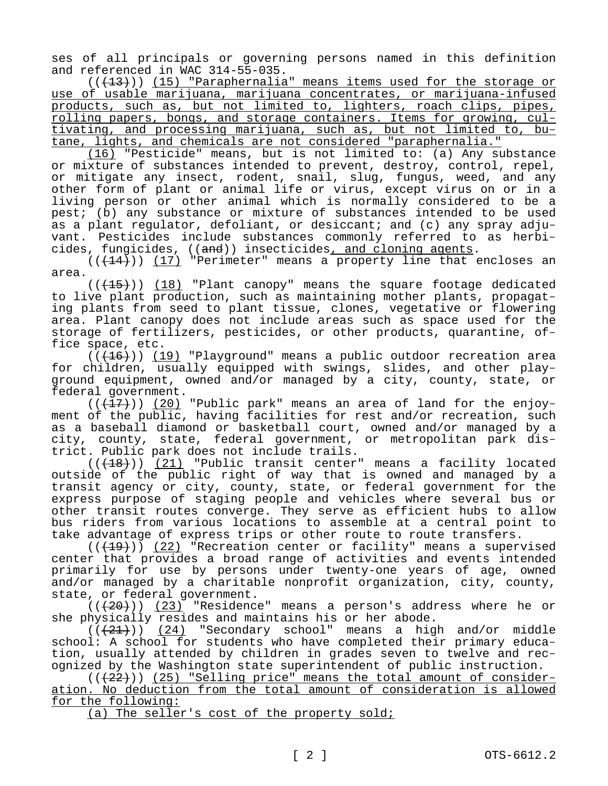ses of all principals or governing persons named in this definition and referenced in WAC 314-55-035.

 $((+13))$  (15) "Paraphernalia" means items used for the storage or use of usable marijuana, marijuana concentrates, or marijuana-infused products, such as, but not limited to, lighters, roach clips, pipes, rolling papers, bongs, and storage containers. Items for growing, cultivating, and processing marijuana, such as, but not limited to, butane, lights, and chemicals are not considered "paraphernalia."

(16) "Pesticide" means, but is not limited to: (a) Any substance or mixture of substances intended to prevent, destroy, control, repel, or mitigate any insect, rodent, snail, slug, fungus, weed, and any other form of plant or animal life or virus, except virus on or in a living person or other animal which is normally considered to be a pest; (b) any substance or mixture of substances intended to be used as a plant regulator, defoliant, or desiccant; and (c) any spray adjuvant. Pesticides include substances commonly referred to as herbicides, fungicides, ((and)) insecticides, and cloning agents.

 $((+14))$  (17) "Perimeter" means a property line that encloses an area.

 $((+15))$  (18) "Plant canopy" means the square footage dedicated to live plant production, such as maintaining mother plants, propagating plants from seed to plant tissue, clones, vegetative or flowering area. Plant canopy does not include areas such as space used for the storage of fertilizers, pesticides, or other products, quarantine, office space, etc.

 $((+16))$  (19) "Playground" means a public outdoor recreation area for children, usually equipped with swings, slides, and other playground equipment, owned and/or managed by a city, county, state, or federal government.

 $((+17))$  (20) "Public park" means an area of land for the enjoyment of the public, having facilities for rest and/or recreation, such as a baseball diamond or basketball court, owned and/or managed by a city, county, state, federal government, or metropolitan park district. Public park does not include trails.

 $((+18))$  (21) "Public transit center" means a facility located outside of the public right of way that is owned and managed by a transit agency or city, county, state, or federal government for the express purpose of staging people and vehicles where several bus or other transit routes converge. They serve as efficient hubs to allow bus riders from various locations to assemble at a central point to take advantage of express trips or other route to route transfers.

 $((+19))$  (22) "Recreation center or facility" means a supervised center that provides a broad range of activities and events intended primarily for use by persons under twenty-one years of age, owned and/or managed by a charitable nonprofit organization, city, county, state, or federal government.

 $((+20))$  (23) "Residence" means a person's address where he or she physically resides and maintains his or her abode.

 $((+21))$  (24) "Secondary school" means a high and/or middle school: A school for students who have completed their primary education, usually attended by children in grades seven to twelve and recognized by the Washington state superintendent of public instruction.

 $((+22))$  (25) "Selling price" means the total amount of consideration. No deduction from the total amount of consideration is allowed for the following:

(a) The seller's cost of the property sold;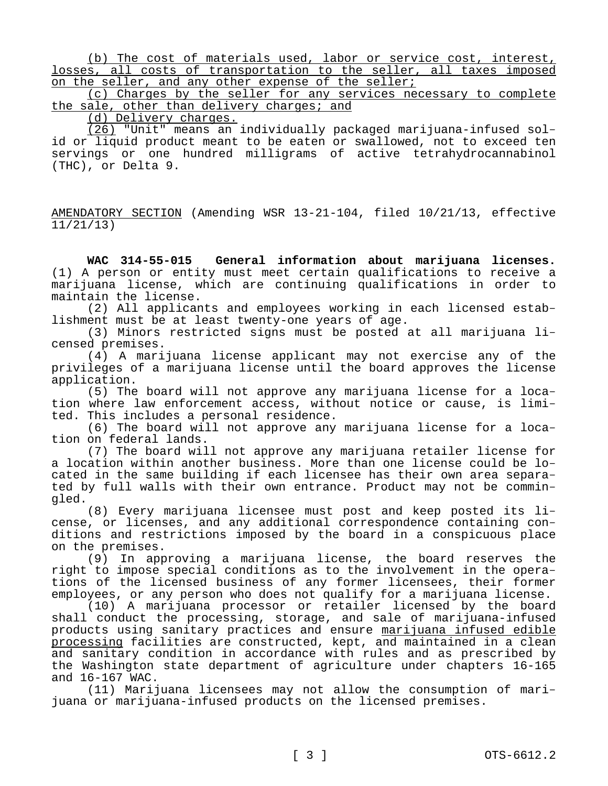(b) The cost of materials used, labor or service cost, interest, losses, all costs of transportation to the seller, all taxes imposed on the seller, and any other expense of the seller;

(c) Charges by the seller for any services necessary to complete the sale, other than delivery charges; and

(d) Delivery charges.

(26) "Unit" means an individually packaged marijuana-infused solid or liquid product meant to be eaten or swallowed, not to exceed ten servings or one hundred milligrams of active tetrahydrocannabinol (THC), or Delta 9.

AMENDATORY SECTION (Amending WSR 13-21-104, filed 10/21/13, effective 11/21/13)

**WAC 314-55-015 General information about marijuana licenses.**  (1) A person or entity must meet certain qualifications to receive a marijuana license, which are continuing qualifications in order to maintain the license.

(2) All applicants and employees working in each licensed establishment must be at least twenty-one years of age.

(3) Minors restricted signs must be posted at all marijuana licensed premises.

(4) A marijuana license applicant may not exercise any of the privileges of a marijuana license until the board approves the license application.

(5) The board will not approve any marijuana license for a location where law enforcement access, without notice or cause, is limited. This includes a personal residence.

(6) The board will not approve any marijuana license for a location on federal lands.

(7) The board will not approve any marijuana retailer license for a location within another business. More than one license could be located in the same building if each licensee has their own area separated by full walls with their own entrance. Product may not be commingled.

(8) Every marijuana licensee must post and keep posted its license, or licenses, and any additional correspondence containing conditions and restrictions imposed by the board in a conspicuous place on the premises.

(9) In approving a marijuana license, the board reserves the right to impose special conditions as to the involvement in the operations of the licensed business of any former licensees, their former employees, or any person who does not qualify for a marijuana license.

(10) A marijuana processor or retailer licensed by the board shall conduct the processing, storage, and sale of marijuana-infused products using sanitary practices and ensure marijuana infused edible processing facilities are constructed, kept, and maintained in a clean and sanitary condition in accordance with rules and as prescribed by the Washington state department of agriculture under chapters 16-165 and 16-167 WAC.

(11) Marijuana licensees may not allow the consumption of marijuana or marijuana-infused products on the licensed premises.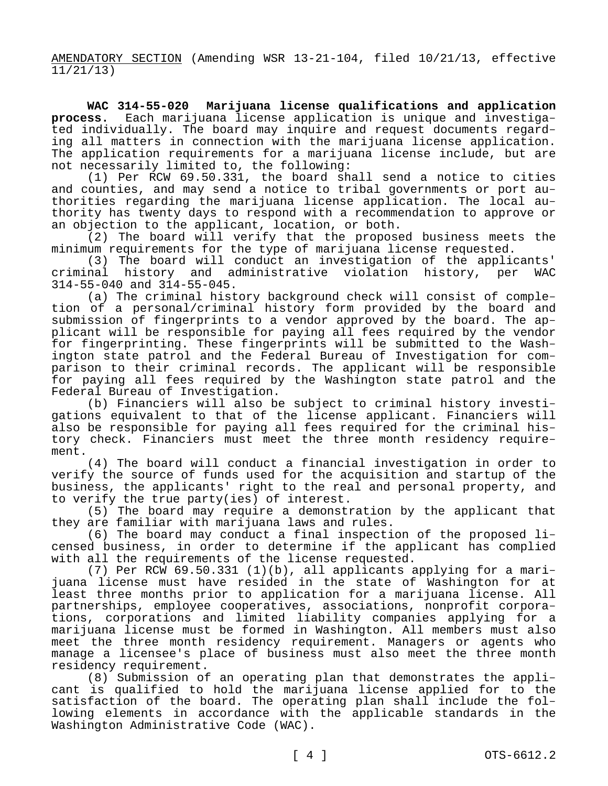AMENDATORY SECTION (Amending WSR 13-21-104, filed 10/21/13, effective 11/21/13)

**WAC 314-55-020 Marijuana license qualifications and application process.** Each marijuana license application is unique and investigated individually. The board may inquire and request documents regarding all matters in connection with the marijuana license application. The application requirements for a marijuana license include, but are not necessarily limited to, the following:

(1) Per RCW 69.50.331, the board shall send a notice to cities and counties, and may send a notice to tribal governments or port authorities regarding the marijuana license application. The local authority has twenty days to respond with a recommendation to approve or an objection to the applicant, location, or both.

(2) The board will verify that the proposed business meets the minimum requirements for the type of marijuana license requested.

(3) The board will conduct an investigation of the applicants' criminal history and administrative violation history, per WAC 314-55-040 and 314-55-045.

(a) The criminal history background check will consist of completion of a personal/criminal history form provided by the board and submission of fingerprints to a vendor approved by the board. The applicant will be responsible for paying all fees required by the vendor for fingerprinting. These fingerprints will be submitted to the Washington state patrol and the Federal Bureau of Investigation for comparison to their criminal records. The applicant will be responsible for paying all fees required by the Washington state patrol and the Federal Bureau of Investigation.

(b) Financiers will also be subject to criminal history investigations equivalent to that of the license applicant. Financiers will also be responsible for paying all fees required for the criminal history check. Financiers must meet the three month residency requirement.

(4) The board will conduct a financial investigation in order to verify the source of funds used for the acquisition and startup of the business, the applicants' right to the real and personal property, and to verify the true party(ies) of interest.

(5) The board may require a demonstration by the applicant that they are familiar with marijuana laws and rules.

(6) The board may conduct a final inspection of the proposed licensed business, in order to determine if the applicant has complied with all the requirements of the license requested.

(7) Per RCW 69.50.331 (1)(b), all applicants applying for a marijuana license must have resided in the state of Washington for at least three months prior to application for a marijuana license. All partnerships, employee cooperatives, associations, nonprofit corporations, corporations and limited liability companies applying for a marijuana license must be formed in Washington. All members must also meet the three month residency requirement. Managers or agents who manage a licensee's place of business must also meet the three month residency requirement.

(8) Submission of an operating plan that demonstrates the applicant is qualified to hold the marijuana license applied for to the satisfaction of the board. The operating plan shall include the following elements in accordance with the applicable standards in the Washington Administrative Code (WAC).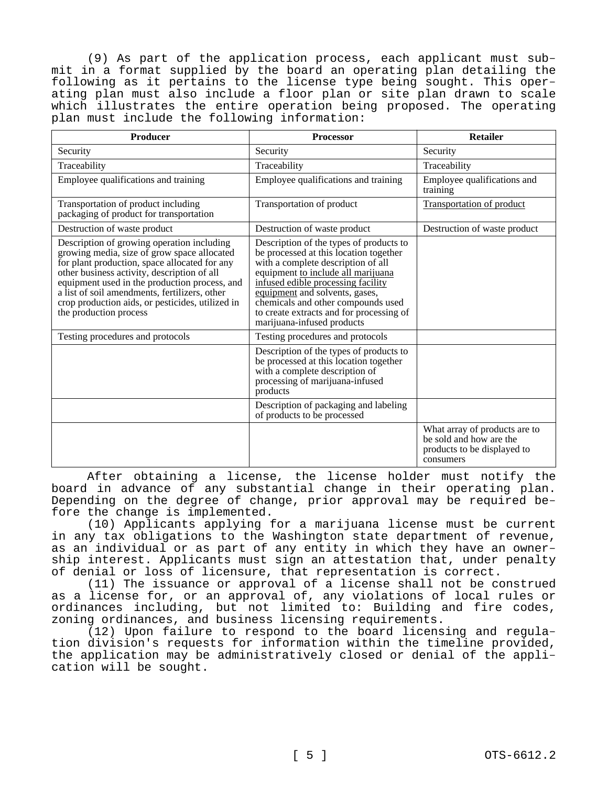(9) As part of the application process, each applicant must submit in a format supplied by the board an operating plan detailing the following as it pertains to the license type being sought. This operating plan must also include a floor plan or site plan drawn to scale which illustrates the entire operation being proposed. The operating plan must include the following information:

| <b>Producer</b>                                                                                                                                                                                                                                                                                                                                                           | <b>Processor</b>                                                                                                                                                                                                                                                                                                                                      | <b>Retailer</b>                                                                                      |
|---------------------------------------------------------------------------------------------------------------------------------------------------------------------------------------------------------------------------------------------------------------------------------------------------------------------------------------------------------------------------|-------------------------------------------------------------------------------------------------------------------------------------------------------------------------------------------------------------------------------------------------------------------------------------------------------------------------------------------------------|------------------------------------------------------------------------------------------------------|
| Security                                                                                                                                                                                                                                                                                                                                                                  | Security                                                                                                                                                                                                                                                                                                                                              | Security                                                                                             |
| Traceability                                                                                                                                                                                                                                                                                                                                                              | Traceability                                                                                                                                                                                                                                                                                                                                          | Traceability                                                                                         |
| Employee qualifications and training                                                                                                                                                                                                                                                                                                                                      | Employee qualifications and training                                                                                                                                                                                                                                                                                                                  | Employee qualifications and<br>training                                                              |
| Transportation of product including<br>packaging of product for transportation                                                                                                                                                                                                                                                                                            | Transportation of product                                                                                                                                                                                                                                                                                                                             | <b>Transportation of product</b>                                                                     |
| Destruction of waste product                                                                                                                                                                                                                                                                                                                                              | Destruction of waste product                                                                                                                                                                                                                                                                                                                          | Destruction of waste product                                                                         |
| Description of growing operation including<br>growing media, size of grow space allocated<br>for plant production, space allocated for any<br>other business activity, description of all<br>equipment used in the production process, and<br>a list of soil amendments, fertilizers, other<br>crop production aids, or pesticides, utilized in<br>the production process | Description of the types of products to<br>be processed at this location together<br>with a complete description of all<br>equipment to include all marijuana<br>infused edible processing facility<br>equipment and solvents, gases,<br>chemicals and other compounds used<br>to create extracts and for processing of<br>marijuana-infused products |                                                                                                      |
| Testing procedures and protocols                                                                                                                                                                                                                                                                                                                                          | Testing procedures and protocols                                                                                                                                                                                                                                                                                                                      |                                                                                                      |
|                                                                                                                                                                                                                                                                                                                                                                           | Description of the types of products to<br>be processed at this location together<br>with a complete description of<br>processing of marijuana-infused<br>products                                                                                                                                                                                    |                                                                                                      |
|                                                                                                                                                                                                                                                                                                                                                                           | Description of packaging and labeling<br>of products to be processed                                                                                                                                                                                                                                                                                  |                                                                                                      |
|                                                                                                                                                                                                                                                                                                                                                                           |                                                                                                                                                                                                                                                                                                                                                       | What array of products are to<br>be sold and how are the<br>products to be displayed to<br>consumers |

After obtaining a license, the license holder must notify the board in advance of any substantial change in their operating plan. Depending on the degree of change, prior approval may be required before the change is implemented.

(10) Applicants applying for a marijuana license must be current in any tax obligations to the Washington state department of revenue, as an individual or as part of any entity in which they have an ownership interest. Applicants must sign an attestation that, under penalty of denial or loss of licensure, that representation is correct.

(11) The issuance or approval of a license shall not be construed as a license for, or an approval of, any violations of local rules or ordinances including, but not limited to: Building and fire codes, zoning ordinances, and business licensing requirements.

(12) Upon failure to respond to the board licensing and regulation division's requests for information within the timeline provided, the application may be administratively closed or denial of the application will be sought.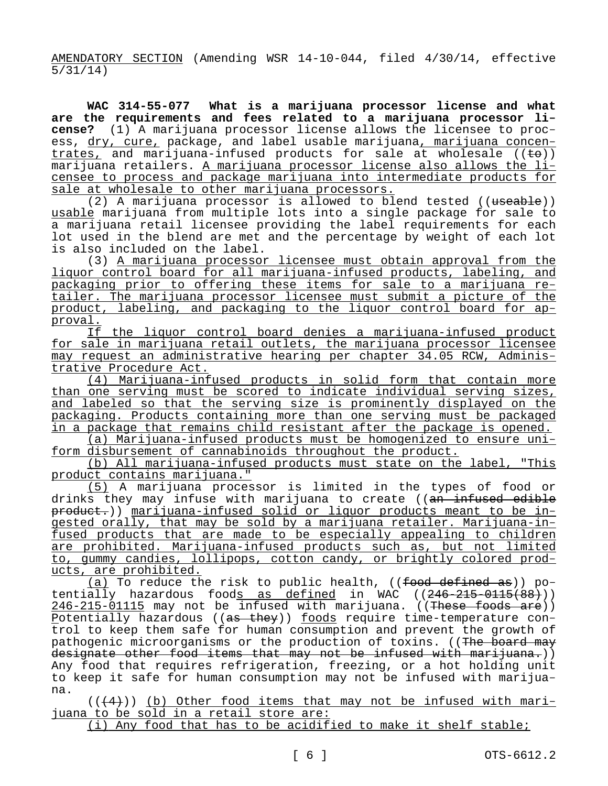AMENDATORY SECTION (Amending WSR 14-10-044, filed 4/30/14, effective 5/31/14)

**WAC 314-55-077 What is a marijuana processor license and what are the requirements and fees related to a marijuana processor license?** (1) A marijuana processor license allows the licensee to process, dry, cure, package, and label usable marijuana, marijuana concentrates, and marijuana-infused products for sale at wholesale  $((\epsilon_{\Theta}))$ marijuana retailers. A marijuana processor license also allows the licensee to process and package marijuana into intermediate products for sale at wholesale to other marijuana processors.

(2) A marijuana processor is allowed to blend tested ((useable)) usable marijuana from multiple lots into a single package for sale to a marijuana retail licensee providing the label requirements for each lot used in the blend are met and the percentage by weight of each lot is also included on the label.

(3) A marijuana processor licensee must obtain approval from the liquor control board for all marijuana-infused products, labeling, and packaging prior to offering these items for sale to a marijuana retailer. The marijuana processor licensee must submit a picture of the product, labeling, and packaging to the liquor control board for approval.

If the liquor control board denies a marijuana-infused product for sale in marijuana retail outlets, the marijuana processor licensee may request an administrative hearing per chapter 34.05 RCW, Administrative Procedure Act.

(4) Marijuana-infused products in solid form that contain more than one serving must be scored to indicate individual serving sizes, and labeled so that the serving size is prominently displayed on the packaging. Products containing more than one serving must be packaged in a package that remains child resistant after the package is opened.

(a) Marijuana-infused products must be homogenized to ensure uniform disbursement of cannabinoids throughout the product.

(b) All marijuana-infused products must state on the label, "This product contains marijuana."

(5) A marijuana processor is limited in the types of food or drinks they may infuse with marijuana to create ((an infused edible product.)) marijuana-infused solid or liquor products meant to be ingested orally, that may be sold by a marijuana retailer. Marijuana-infused products that are made to be especially appealing to children are prohibited. Marijuana-infused products such as, but not limited to, gummy candies, lollipops, cotton candy, or brightly colored products, are prohibited.

(a) To reduce the risk to public health,  $((\text{food defined as}))$  potentially hazardous foods as defined in WAC  $((246-215-0115(88)))$ 246-215-01115 may not be infused with marijuana. ((These foods are)) Potentially hazardous ((as they)) foods require time-temperature control to keep them safe for human consumption and prevent the growth of pathogenic microorganisms or the production of toxins. ((The board may designate other food items that may not be infused with marijuana.)) Any food that requires refrigeration, freezing, or a hot holding unit to keep it safe for human consumption may not be infused with marijuana.

 $((+4))$  (b) Other food items that may not be infused with marijuana to be sold in a retail store are:

(i) Any food that has to be acidified to make it shelf stable;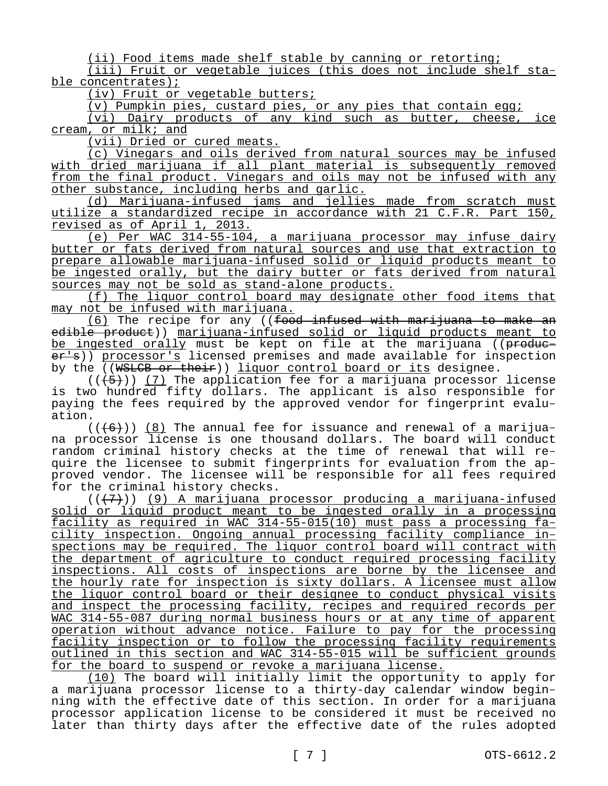(ii) Food items made shelf stable by canning or retorting;

(iii) Fruit or vegetable juices (this does not include shelf stable concentrates);

(iv) Fruit or vegetable butters;

(v) Pumpkin pies, custard pies, or any pies that contain egg;

(vi) Dairy products of any kind such as butter, cheese, ice cream, or milk; and

(vii) Dried or cured meats.

(c) Vinegars and oils derived from natural sources may be infused with dried marijuana if all plant material is subsequently removed from the final product. Vinegars and oils may not be infused with any other substance, including herbs and garlic.

(d) Marijuana-infused jams and jellies made from scratch must utilize a standardized recipe in accordance with 21 C.F.R. Part 150, revised as of April 1, 2013.

(e) Per WAC 314-55-104, a marijuana processor may infuse dairy butter or fats derived from natural sources and use that extraction to prepare allowable marijuana-infused solid or liquid products meant to be ingested orally, but the dairy butter or fats derived from natural sources may not be sold as stand-alone products.

(f) The liquor control board may designate other food items that may not be infused with marijuana.

 $(6)$  The recipe for any ((food infused with marijuana to make an edible product)) marijuana-infused solid or liquid products meant to be ingested orally must be kept on file at the marijuana ((producer's)) processor's licensed premises and made available for inspection by the ((WSLCB or their)) liquor control board or its designee.

 $((+5))$  (7) The application fee for a marijuana processor license is two hundred fifty dollars. The applicant is also responsible for paying the fees required by the approved vendor for fingerprint evaluation.

 $((+6))$  (8) The annual fee for issuance and renewal of a marijuana processor license is one thousand dollars. The board will conduct random criminal history checks at the time of renewal that will require the licensee to submit fingerprints for evaluation from the approved vendor. The licensee will be responsible for all fees required for the criminal history checks.

 $((+7))$  (9) A marijuana processor producing a marijuana-infused solid or liquid product meant to be ingested orally in a processing facility as required in WAC 314-55-015(10) must pass a processing facility inspection. Ongoing annual processing facility compliance inspections may be required. The liquor control board will contract with the department of agriculture to conduct required processing facility inspections. All costs of inspections are borne by the licensee and the hourly rate for inspection is sixty dollars. A licensee must allow the liquor control board or their designee to conduct physical visits and inspect the processing facility, recipes and required records per WAC 314-55-087 during normal business hours or at any time of apparent operation without advance notice. Failure to pay for the processing facility inspection or to follow the processing facility requirements outlined in this section and WAC 314-55-015 will be sufficient grounds for the board to suspend or revoke a marijuana license.

(10) The board will initially limit the opportunity to apply for a marijuana processor license to a thirty-day calendar window beginning with the effective date of this section. In order for a marijuana processor application license to be considered it must be received no later than thirty days after the effective date of the rules adopted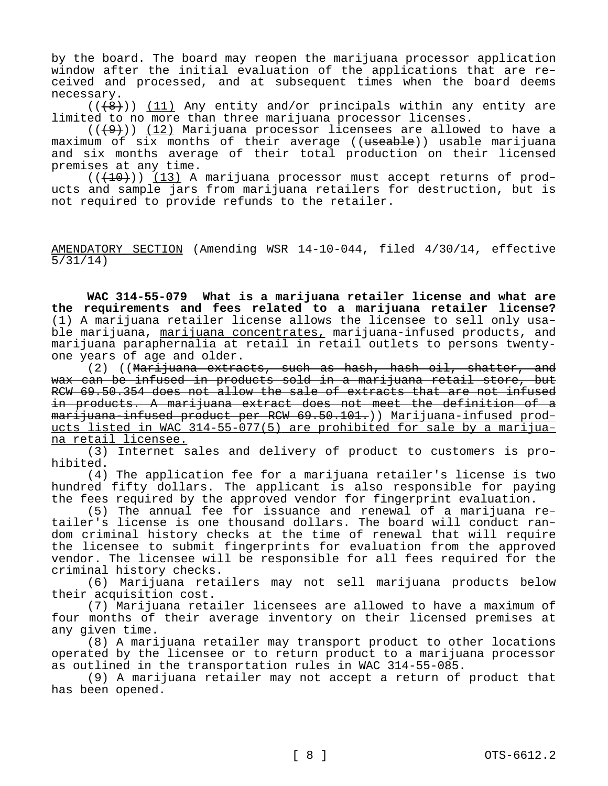by the board. The board may reopen the marijuana processor application window after the initial evaluation of the applications that are received and processed, and at subsequent times when the board deems necessary.

 $((+8))$  (11) Any entity and/or principals within any entity are limited to no more than three marijuana processor licenses.

 $((+9))$  (12) Marijuana processor licensees are allowed to have a maximum of six months of their average ((useable)) usable marijuana and six months average of their total production on their licensed premises at any time.

 $((+10))$  (13) A marijuana processor must accept returns of products and sample jars from marijuana retailers for destruction, but is not required to provide refunds to the retailer.

AMENDATORY SECTION (Amending WSR 14-10-044, filed 4/30/14, effective 5/31/14)

**WAC 314-55-079 What is a marijuana retailer license and what are the requirements and fees related to a marijuana retailer license?**  (1) A marijuana retailer license allows the licensee to sell only usable marijuana, marijuana concentrates, marijuana-infused products, and marijuana paraphernalia at retail in retail outlets to persons twentyone years of age and older.

(2) ((Marijuana extracts, such as hash, hash oil, shatter, and wax can be infused in products sold in a marijuana retail store, but RCW 69.50.354 does not allow the sale of extracts that are not infused in products. A marijuana extract does not meet the definition of a marijuana-infused product per RCW 69.50.101.)) Marijuana-infused products listed in WAC 314-55-077(5) are prohibited for sale by a marijuana retail licensee.

(3) Internet sales and delivery of product to customers is prohibited.

(4) The application fee for a marijuana retailer's license is two hundred fifty dollars. The applicant is also responsible for paying the fees required by the approved vendor for fingerprint evaluation.

(5) The annual fee for issuance and renewal of a marijuana retailer's license is one thousand dollars. The board will conduct random criminal history checks at the time of renewal that will require the licensee to submit fingerprints for evaluation from the approved vendor. The licensee will be responsible for all fees required for the criminal history checks.

(6) Marijuana retailers may not sell marijuana products below their acquisition cost.

(7) Marijuana retailer licensees are allowed to have a maximum of four months of their average inventory on their licensed premises at any given time.

(8) A marijuana retailer may transport product to other locations operated by the licensee or to return product to a marijuana processor as outlined in the transportation rules in WAC 314-55-085.

(9) A marijuana retailer may not accept a return of product that has been opened.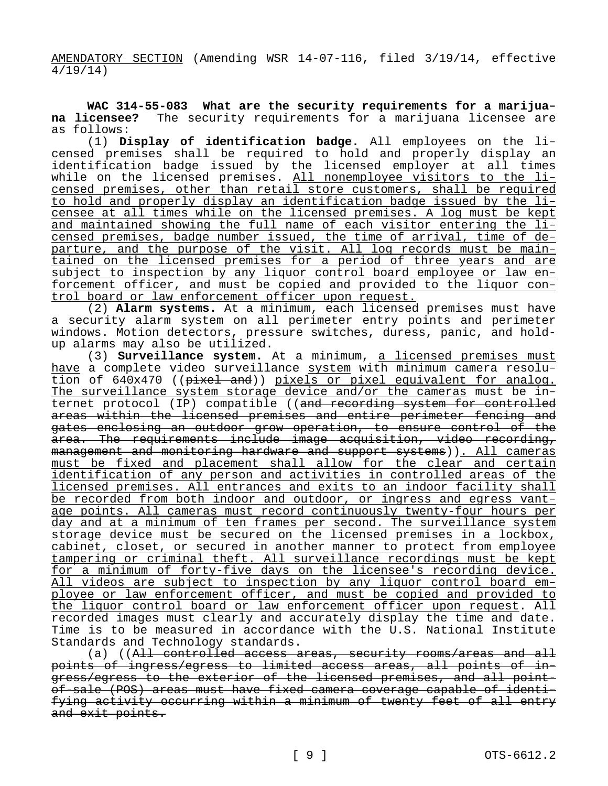AMENDATORY SECTION (Amending WSR 14-07-116, filed 3/19/14, effective 4/19/14)

**WAC 314-55-083 What are the security requirements for a marijuana licensee?** The security requirements for a marijuana licensee are as follows:

(1) **Display of identification badge.** All employees on the licensed premises shall be required to hold and properly display an identification badge issued by the licensed employer at all times while on the licensed premises. All nonemployee visitors to the licensed premises, other than retail store customers, shall be required to hold and properly display an identification badge issued by the licensee at all times while on the licensed premises. A log must be kept and maintained showing the full name of each visitor entering the licensed premises, badge number issued, the time of arrival, time of departure, and the purpose of the visit. All log records must be maintained on the licensed premises for a period of three years and are subject to inspection by any liquor control board employee or law enforcement officer, and must be copied and provided to the liquor control board or law enforcement officer upon request.

(2) **Alarm systems.** At a minimum, each licensed premises must have a security alarm system on all perimeter entry points and perimeter windows. Motion detectors, pressure switches, duress, panic, and holdup alarms may also be utilized.

(3) **Surveillance system.** At a minimum, a licensed premises must have a complete video surveillance system with minimum camera resolution of 640x470 ((pixel and)) pixels or pixel equivalent for analog. The surveillance system storage device and/or the cameras must be internet protocol (IP) compatible ((and recording system for controlled areas within the licensed premises and entire perimeter fencing and gates enclosing an outdoor grow operation, to ensure control of the area. The requirements include image acquisition, video recording, management and monitoring hardware and support systems)). All cameras must be fixed and placement shall allow for the clear and certain identification of any person and activities in controlled areas of the licensed premises. All entrances and exits to an indoor facility shall be recorded from both indoor and outdoor, or ingress and egress vantage points. All cameras must record continuously twenty-four hours per day and at a minimum of ten frames per second. The surveillance system storage device must be secured on the licensed premises in a lockbox, cabinet, closet, or secured in another manner to protect from employee tampering or criminal theft. All surveillance recordings must be kept for a minimum of forty-five days on the licensee's recording device. All videos are subject to inspection by any liquor control board employee or law enforcement officer, and must be copied and provided to the liquor control board or law enforcement officer upon request. All recorded images must clearly and accurately display the time and date. Time is to be measured in accordance with the U.S. National Institute Standards and Technology standards.

(a) ((All controlled access areas, security rooms/areas and all points of ingress/egress to limited access areas, all points of ingress/egress to the exterior of the licensed premises, and all pointof-sale (POS) areas must have fixed camera coverage capable of identifying activity occurring within a minimum of twenty feet of all entry and exit points.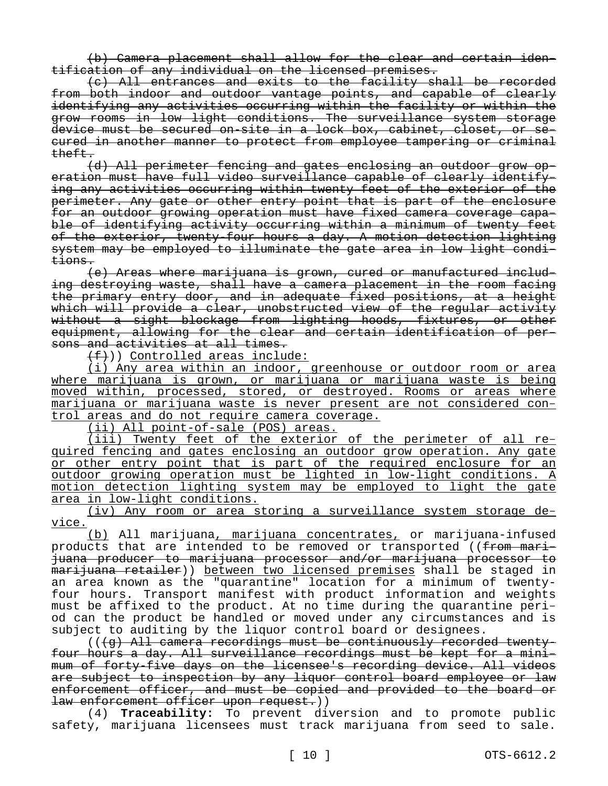(b) Camera placement shall allow for the clear and certain identification of any individual on the licensed premises.

(c) All entrances and exits to the facility shall be recorded from both indoor and outdoor vantage points, and capable of clearly identifying any activities occurring within the facility or within the grow rooms in low light conditions. The surveillance system storage device must be secured on-site in a lock box, cabinet, closet, or secured in another manner to protect from employee tampering or criminal theft.

(d) All perimeter fencing and gates enclosing an outdoor grow operation must have full video surveillance capable of clearly identifying any activities occurring within twenty feet of the exterior of the perimeter. Any gate or other entry point that is part of the enclosure for an outdoor growing operation must have fixed camera coverage capable of identifying activity occurring within a minimum of twenty feet of the exterior, twenty-four hours a day. A motion detection lighting system may be employed to illuminate the gate area in low light conditions.

(e) Areas where marijuana is grown, cured or manufactured including destroying waste, shall have a camera placement in the room facing the primary entry door, and in adequate fixed positions, at a height which will provide a clear, unobstructed view of the regular activity without a sight blockage from lighting hoods, fixtures, or other equipment, allowing for the clear and certain identification of persons and activities at all times.

 $(f+)$ ) Controlled areas include:

(i) Any area within an indoor, greenhouse or outdoor room or area where marijuana is grown, or marijuana or marijuana waste is being moved within, processed, stored, or destroyed. Rooms or areas where marijuana or marijuana waste is never present are not considered control areas and do not require camera coverage.

(ii) All point-of-sale (POS) areas.

(iii) Twenty feet of the exterior of the perimeter of all required fencing and gates enclosing an outdoor grow operation. Any gate or other entry point that is part of the required enclosure for an outdoor growing operation must be lighted in low-light conditions. A motion detection lighting system may be employed to light the gate area in low-light conditions.

(iv) Any room or area storing a surveillance system storage device.

(b) All marijuana, marijuana concentrates, or marijuana-infused products that are intended to be removed or transported ((from marijuana producer to marijuana processor and/or marijuana processor to marijuana retailer)) between two licensed premises shall be staged in an area known as the "quarantine" location for a minimum of twentyfour hours. Transport manifest with product information and weights must be affixed to the product. At no time during the quarantine period can the product be handled or moved under any circumstances and is subject to auditing by the liquor control board or designees.

 $((\langle q \rangle$  All camera recordings must be continuously recorded twentyfour hours a day. All surveillance recordings must be kept for a minimum of forty-five days on the licensee's recording device. All videos are subject to inspection by any liquor control board employee or law enforcement officer, and must be copied and provided to the board or law enforcement officer upon request.))

(4) **Traceability:** To prevent diversion and to promote public safety, marijuana licensees must track marijuana from seed to sale.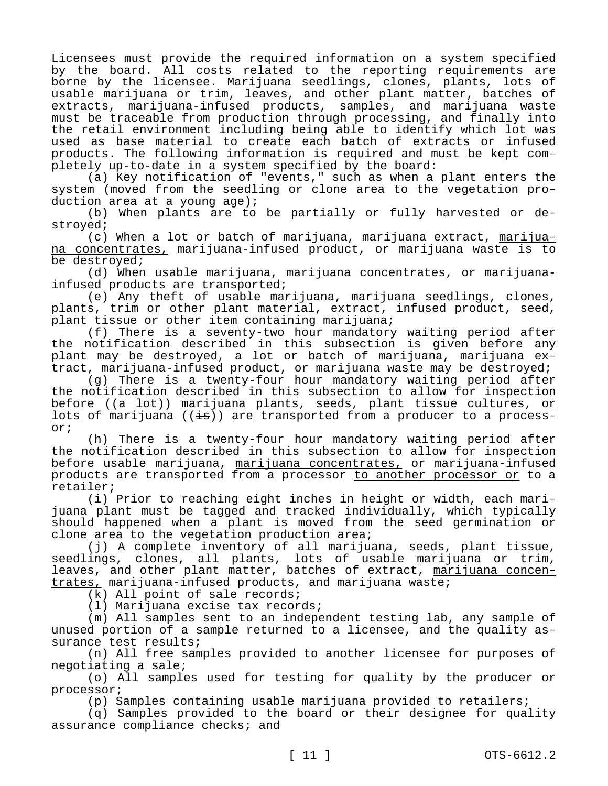Licensees must provide the required information on a system specified by the board. All costs related to the reporting requirements are borne by the licensee. Marijuana seedlings, clones, plants, lots of usable marijuana or trim, leaves, and other plant matter, batches of extracts, marijuana-infused products, samples, and marijuana waste must be traceable from production through processing, and finally into the retail environment including being able to identify which lot was used as base material to create each batch of extracts or infused products. The following information is required and must be kept completely up-to-date in a system specified by the board:

(a) Key notification of "events," such as when a plant enters the system (moved from the seedling or clone area to the vegetation production area at a young age);

(b) When plants are to be partially or fully harvested or destroyed;

(c) When a lot or batch of marijuana, marijuana extract, marijuana concentrates, marijuana-infused product, or marijuana waste is to be destroyed;

(d) When usable marijuana, marijuana concentrates, or marijuanainfused products are transported;

(e) Any theft of usable marijuana, marijuana seedlings, clones, plants, trim or other plant material, extract, infused product, seed, plant tissue or other item containing marijuana;

(f) There is a seventy-two hour mandatory waiting period after the notification described in this subsection is given before any plant may be destroyed, a lot or batch of marijuana, marijuana extract, marijuana-infused product, or marijuana waste may be destroyed;

(g) There is a twenty-four hour mandatory waiting period after the notification described in this subsection to allow for inspection before ((a lot)) marijuana plants, seeds, plant tissue cultures, or lots of marijuana  $((\frac{1}{18}))$  are transported from a producer to a processor;

(h) There is a twenty-four hour mandatory waiting period after the notification described in this subsection to allow for inspection before usable marijuana, marijuana concentrates, or marijuana-infused products are transported from a processor to another processor or to a retailer;

(i) Prior to reaching eight inches in height or width, each marijuana plant must be tagged and tracked individually, which typically should happened when a plant is moved from the seed germination or clone area to the vegetation production area;

(j) A complete inventory of all marijuana, seeds, plant tissue, seedlings, clones, all plants, lots of usable marijuana or trim, leaves, and other plant matter, batches of extract, marijuana concentrates, marijuana-infused products, and marijuana waste;

(k) All point of sale records;

(l) Marijuana excise tax records;

(m) All samples sent to an independent testing lab, any sample of unused portion of a sample returned to a licensee, and the quality assurance test results;

(n) All free samples provided to another licensee for purposes of negotiating a sale;

(o) All samples used for testing for quality by the producer or processor;

(p) Samples containing usable marijuana provided to retailers;

(q) Samples provided to the board or their designee for quality assurance compliance checks; and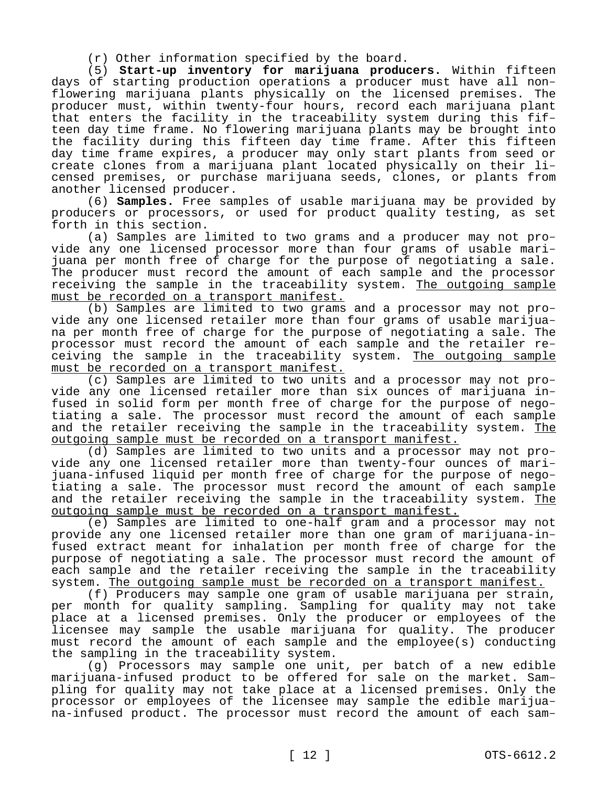(r) Other information specified by the board.

(5) **Start-up inventory for marijuana producers.** Within fifteen days of starting production operations a producer must have all nonflowering marijuana plants physically on the licensed premises. The producer must, within twenty-four hours, record each marijuana plant that enters the facility in the traceability system during this fifteen day time frame. No flowering marijuana plants may be brought into the facility during this fifteen day time frame. After this fifteen day time frame expires, a producer may only start plants from seed or create clones from a marijuana plant located physically on their licensed premises, or purchase marijuana seeds, clones, or plants from another licensed producer.

(6) **Samples.** Free samples of usable marijuana may be provided by producers or processors, or used for product quality testing, as set forth in this section.

(a) Samples are limited to two grams and a producer may not provide any one licensed processor more than four grams of usable marijuana per month free of charge for the purpose of negotiating a sale. The producer must record the amount of each sample and the processor receiving the sample in the traceability system. The outgoing sample must be recorded on a transport manifest.

(b) Samples are limited to two grams and a processor may not provide any one licensed retailer more than four grams of usable marijuana per month free of charge for the purpose of negotiating a sale. The processor must record the amount of each sample and the retailer receiving the sample in the traceability system. The outgoing sample must be recorded on a transport manifest.

(c) Samples are limited to two units and a processor may not provide any one licensed retailer more than six ounces of marijuana infused in solid form per month free of charge for the purpose of negotiating a sale. The processor must record the amount of each sample and the retailer receiving the sample in the traceability system. The outgoing sample must be recorded on a transport manifest.

(d) Samples are limited to two units and a processor may not provide any one licensed retailer more than twenty-four ounces of marijuana-infused liquid per month free of charge for the purpose of negotiating a sale. The processor must record the amount of each sample and the retailer receiving the sample in the traceability system. The outgoing sample must be recorded on a transport manifest.

(e) Samples are limited to one-half gram and a processor may not provide any one licensed retailer more than one gram of marijuana-infused extract meant for inhalation per month free of charge for the purpose of negotiating a sale. The processor must record the amount of each sample and the retailer receiving the sample in the traceability system. The outgoing sample must be recorded on a transport manifest.

(f) Producers may sample one gram of usable marijuana per strain, per month for quality sampling. Sampling for quality may not take place at a licensed premises. Only the producer or employees of the licensee may sample the usable marijuana for quality. The producer must record the amount of each sample and the employee(s) conducting the sampling in the traceability system.

(g) Processors may sample one unit, per batch of a new edible marijuana-infused product to be offered for sale on the market. Sampling for quality may not take place at a licensed premises. Only the processor or employees of the licensee may sample the edible marijuana-infused product. The processor must record the amount of each sam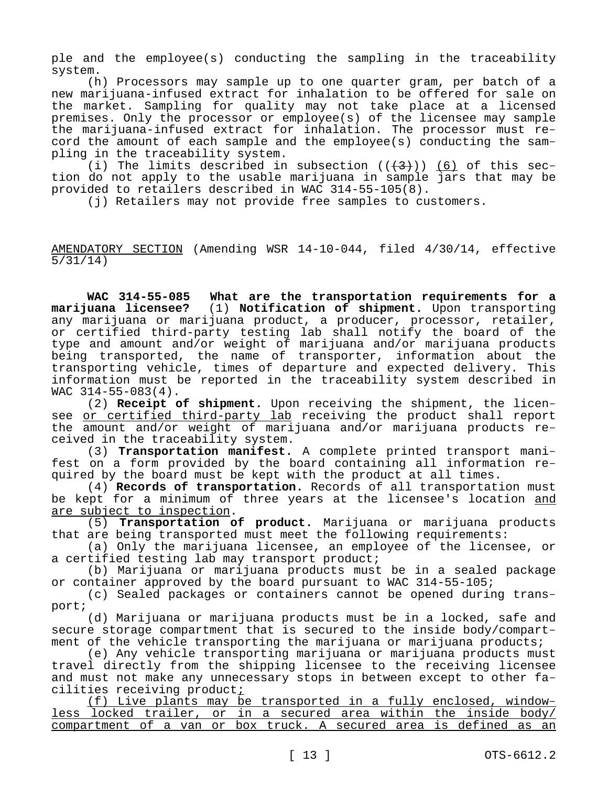ple and the employee(s) conducting the sampling in the traceability system.

(h) Processors may sample up to one quarter gram, per batch of a new marijuana-infused extract for inhalation to be offered for sale on the market. Sampling for quality may not take place at a licensed premises. Only the processor or employee(s) of the licensee may sample the marijuana-infused extract for inhalation. The processor must record the amount of each sample and the employee(s) conducting the sampling in the traceability system.

(i) The limits described in subsection  $((+3))$  (6) of this section do not apply to the usable marijuana in sample  $\overline{jar}$ s that may be provided to retailers described in WAC 314-55-105(8).

(j) Retailers may not provide free samples to customers.

AMENDATORY SECTION (Amending WSR 14-10-044, filed 4/30/14, effective 5/31/14)

**WAC 314-55-085 What are the transportation requirements for a marijuana licensee?** (1) **Notification of shipment.** Upon transporting any marijuana or marijuana product, a producer, processor, retailer, or certified third-party testing lab shall notify the board of the type and amount and/or weight of marijuana and/or marijuana products being transported, the name of transporter, information about the transporting vehicle, times of departure and expected delivery. This information must be reported in the traceability system described in WAC 314-55-083(4).

(2) **Receipt of shipment.** Upon receiving the shipment, the licensee or certified third-party lab receiving the product shall report the amount and/or weight of marijuana and/or marijuana products received in the traceability system.

(3) **Transportation manifest.** A complete printed transport manifest on a form provided by the board containing all information required by the board must be kept with the product at all times.

(4) **Records of transportation.** Records of all transportation must be kept for a minimum of three years at the licensee's location and are subject to inspection.

(5) **Transportation of product.** Marijuana or marijuana products that are being transported must meet the following requirements:

(a) Only the marijuana licensee, an employee of the licensee, or a certified testing lab may transport product;

(b) Marijuana or marijuana products must be in a sealed package or container approved by the board pursuant to WAC 314-55-105;

(c) Sealed packages or containers cannot be opened during transport;

(d) Marijuana or marijuana products must be in a locked, safe and secure storage compartment that is secured to the inside body/compartment of the vehicle transporting the marijuana or marijuana products;

(e) Any vehicle transporting marijuana or marijuana products must travel directly from the shipping licensee to the receiving licensee and must not make any unnecessary stops in between except to other facilities receiving product;

(f) Live plants may be transported in a fully enclosed, windowless locked trailer, or in a secured area within the inside body/ compartment of a van or box truck. A secured area is defined as an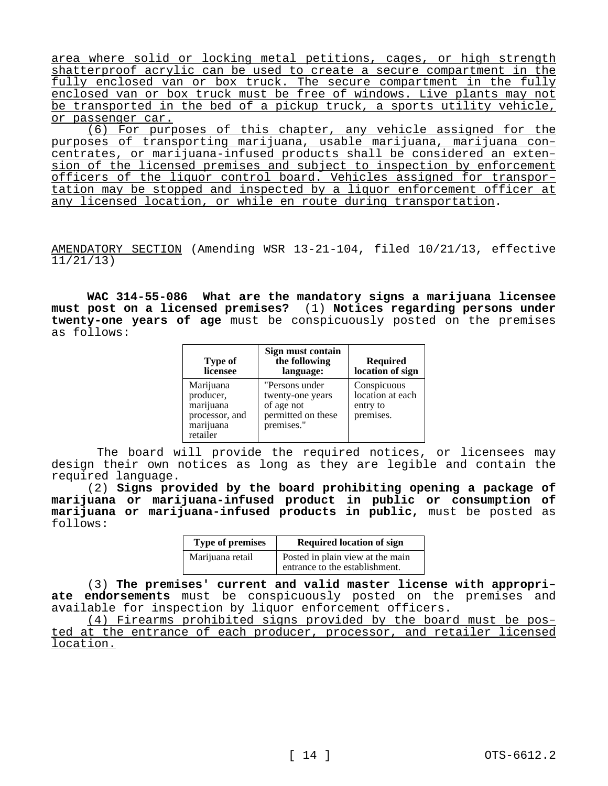area where solid or locking metal petitions, cages, or high strength shatterproof acrylic can be used to create a secure compartment in the fully enclosed van or box truck. The secure compartment in the fully enclosed van or box truck must be free of windows. Live plants may not be transported in the bed of a pickup truck, a sports utility vehicle, or passenger car.

(6) For purposes of this chapter, any vehicle assigned for the purposes of transporting marijuana, usable marijuana, marijuana concentrates, or marijuana-infused products shall be considered an extension of the licensed premises and subject to inspection by enforcement officers of the liquor control board. Vehicles assigned for transportation may be stopped and inspected by a liquor enforcement officer at any licensed location, or while en route during transportation.

AMENDATORY SECTION (Amending WSR 13-21-104, filed 10/21/13, effective 11/21/13)

**WAC 314-55-086 What are the mandatory signs a marijuana licensee must post on a licensed premises?** (1) **Notices regarding persons under twenty-one years of age** must be conspicuously posted on the premises as follows:

| <b>Type of</b><br>licensee                                                     | Sign must contain<br>the following<br>language:                                      | <b>Required</b><br>location of sign                      |
|--------------------------------------------------------------------------------|--------------------------------------------------------------------------------------|----------------------------------------------------------|
| Marijuana<br>producer.<br>marijuana<br>processor, and<br>marijuana<br>retailer | "Persons under<br>twenty-one years<br>of age not<br>permitted on these<br>premises." | Conspicuous<br>location at each<br>entry to<br>premises. |

 The board will provide the required notices, or licensees may design their own notices as long as they are legible and contain the required language.

(2) **Signs provided by the board prohibiting opening a package of marijuana or marijuana-infused product in public or consumption of marijuana or marijuana-infused products in public,** must be posted as follows:

| <b>Type of premises</b> | <b>Required location of sign</b>                                   |
|-------------------------|--------------------------------------------------------------------|
| Marijuana retail        | Posted in plain view at the main<br>entrance to the establishment. |

(3) **The premises' current and valid master license with appropriate endorsements** must be conspicuously posted on the premises and available for inspection by liquor enforcement officers.

(4) Firearms prohibited signs provided by the board must be posted at the entrance of each producer, processor, and retailer licensed location.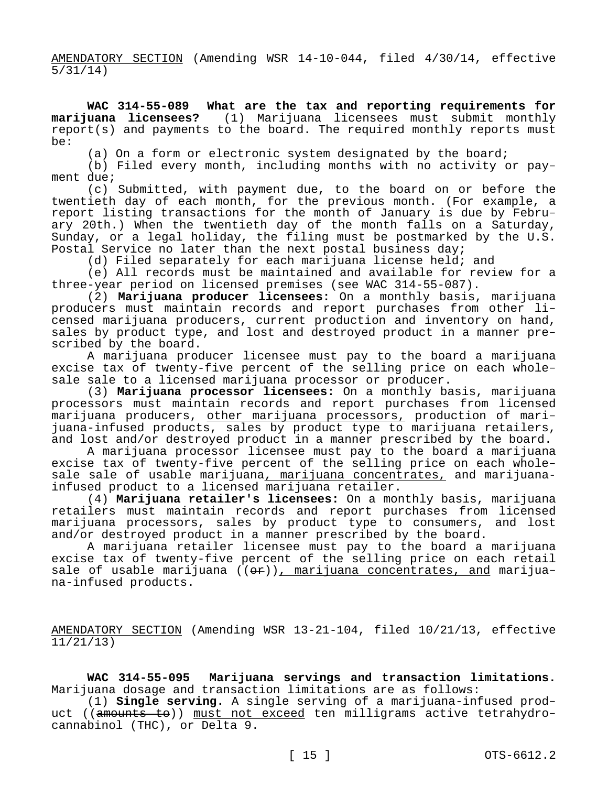AMENDATORY SECTION (Amending WSR 14-10-044, filed 4/30/14, effective 5/31/14)

**WAC 314-55-089 What are the tax and reporting requirements for marijuana licensees?** (1) Marijuana licensees must submit monthly report(s) and payments to the board. The required monthly reports must be:

(a) On a form or electronic system designated by the board;

(b) Filed every month, including months with no activity or payment due;

(c) Submitted, with payment due, to the board on or before the twentieth day of each month, for the previous month. (For example, a report listing transactions for the month of January is due by February 20th.) When the twentieth day of the month falls on a Saturday, Sunday, or a legal holiday, the filing must be postmarked by the U.S. Postal Service no later than the next postal business day;

(d) Filed separately for each marijuana license held; and

(e) All records must be maintained and available for review for a three-year period on licensed premises (see WAC 314-55-087).

(2) **Marijuana producer licensees:** On a monthly basis, marijuana producers must maintain records and report purchases from other licensed marijuana producers, current production and inventory on hand, sales by product type, and lost and destroyed product in a manner prescribed by the board.

A marijuana producer licensee must pay to the board a marijuana excise tax of twenty-five percent of the selling price on each wholesale sale to a licensed marijuana processor or producer.

(3) **Marijuana processor licensees:** On a monthly basis, marijuana processors must maintain records and report purchases from licensed marijuana producers, other marijuana processors, production of marijuana-infused products, sales by product type to marijuana retailers, and lost and/or destroyed product in a manner prescribed by the board.

A marijuana processor licensee must pay to the board a marijuana excise tax of twenty-five percent of the selling price on each wholesale sale of usable marijuana, marijuana concentrates, and marijuanainfused product to a licensed marijuana retailer.

(4) **Marijuana retailer's licensees:** On a monthly basis, marijuana retailers must maintain records and report purchases from licensed marijuana processors, sales by product type to consumers, and lost and/or destroyed product in a manner prescribed by the board.

A marijuana retailer licensee must pay to the board a marijuana excise tax of twenty-five percent of the selling price on each retail sale of usable marijuana  $((\Theta \cdot \mathbf{r}))$ , marijuana concentrates, and marijuana-infused products.

AMENDATORY SECTION (Amending WSR 13-21-104, filed 10/21/13, effective 11/21/13)

**WAC 314-55-095 Marijuana servings and transaction limitations.**  Marijuana dosage and transaction limitations are as follows:

(1) **Single serving.** A single serving of a marijuana-infused product ((amounts to)) must not exceed ten milligrams active tetrahydrocannabinol (THC), or Delta 9.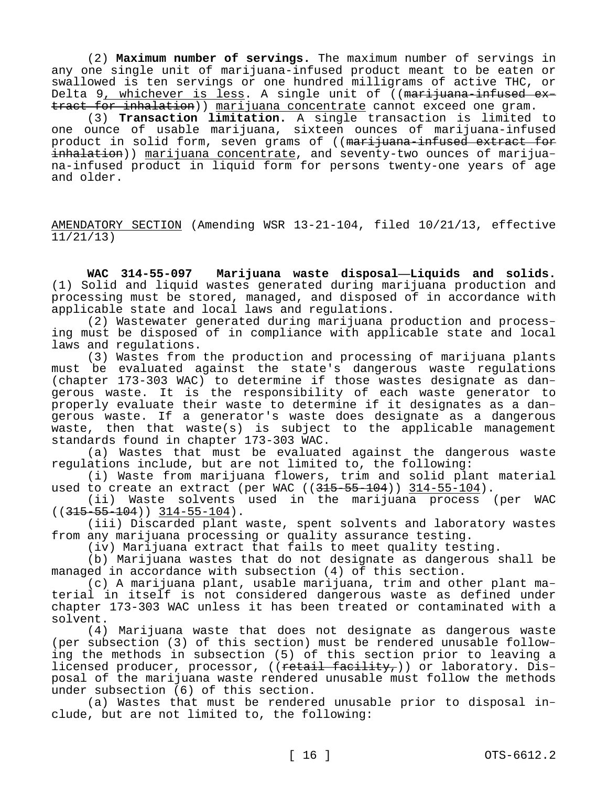(2) **Maximum number of servings.** The maximum number of servings in any one single unit of marijuana-infused product meant to be eaten or swallowed is ten servings or one hundred milligrams of active THC, or Delta 9, whichever is less. A single unit of  $($  (marijuana-infused extract for inhalation)) marijuana concentrate cannot exceed one gram.

(3) **Transaction limitation.** A single transaction is limited to one ounce of usable marijuana, sixteen ounces of marijuana-infused product in solid form, seven grams of ((marijuana-infused extract for inhalation)) marijuana concentrate, and seventy-two ounces of marijuana-infused product in liquid form for persons twenty-one years of age and older.

AMENDATORY SECTION (Amending WSR 13-21-104, filed 10/21/13, effective  $11/21/13$ 

**WAC 314-55-097 Marijuana waste disposal—Liquids and solids.**  (1) Solid and liquid wastes generated during marijuana production and processing must be stored, managed, and disposed of in accordance with applicable state and local laws and regulations.

(2) Wastewater generated during marijuana production and processing must be disposed of in compliance with applicable state and local laws and regulations.

(3) Wastes from the production and processing of marijuana plants must be evaluated against the state's dangerous waste regulations (chapter 173-303 WAC) to determine if those wastes designate as dangerous waste. It is the responsibility of each waste generator to properly evaluate their waste to determine if it designates as a dangerous waste. If a generator's waste does designate as a dangerous waste, then that waste(s) is subject to the applicable management standards found in chapter 173-303 WAC.

(a) Wastes that must be evaluated against the dangerous waste regulations include, but are not limited to, the following:

(i) Waste from marijuana flowers, trim and solid plant material used to create an extract (per WAC ((315-55-104)) 314-55-104).

(ii) Waste solvents used in the marijuana process (per WAC  $((315-55-104))$   $314-55-104)$ .

(iii) Discarded plant waste, spent solvents and laboratory wastes from any marijuana processing or quality assurance testing.

(iv) Marijuana extract that fails to meet quality testing.

(b) Marijuana wastes that do not designate as dangerous shall be managed in accordance with subsection (4) of this section.

(c) A marijuana plant, usable marijuana, trim and other plant material in itself is not considered dangerous waste as defined under chapter 173-303 WAC unless it has been treated or contaminated with a solvent.

(4) Marijuana waste that does not designate as dangerous waste (per subsection (3) of this section) must be rendered unusable following the methods in subsection (5) of this section prior to leaving a licensed producer, processor, ((retail facility,)) or laboratory. Disposal of the marijuana waste rendered unusable must follow the methods under subsection (6) of this section.

(a) Wastes that must be rendered unusable prior to disposal include, but are not limited to, the following: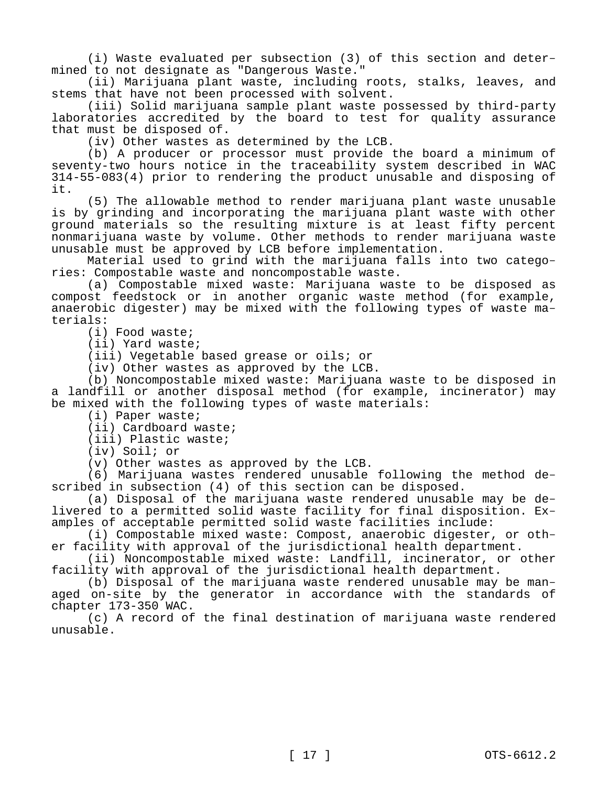(i) Waste evaluated per subsection (3) of this section and determined to not designate as "Dangerous Waste."

(ii) Marijuana plant waste, including roots, stalks, leaves, and stems that have not been processed with solvent.

(iii) Solid marijuana sample plant waste possessed by third-party laboratories accredited by the board to test for quality assurance that must be disposed of.

(iv) Other wastes as determined by the LCB.

(b) A producer or processor must provide the board a minimum of seventy-two hours notice in the traceability system described in WAC 314-55-083(4) prior to rendering the product unusable and disposing of it.

(5) The allowable method to render marijuana plant waste unusable is by grinding and incorporating the marijuana plant waste with other ground materials so the resulting mixture is at least fifty percent nonmarijuana waste by volume. Other methods to render marijuana waste unusable must be approved by LCB before implementation.

Material used to grind with the marijuana falls into two categories: Compostable waste and noncompostable waste.

(a) Compostable mixed waste: Marijuana waste to be disposed as compost feedstock or in another organic waste method (for example, anaerobic digester) may be mixed with the following types of waste materials:

(i) Food waste;

(ii) Yard waste;

(iii) Vegetable based grease or oils; or

(iv) Other wastes as approved by the LCB.

(b) Noncompostable mixed waste: Marijuana waste to be disposed in a landfill or another disposal method (for example, incinerator) may be mixed with the following types of waste materials:

(i) Paper waste;

(ii) Cardboard waste;

(iii) Plastic waste;

(iv) Soil; or

(v) Other wastes as approved by the LCB.

(6) Marijuana wastes rendered unusable following the method described in subsection (4) of this section can be disposed.

(a) Disposal of the marijuana waste rendered unusable may be delivered to a permitted solid waste facility for final disposition. Examples of acceptable permitted solid waste facilities include:

(i) Compostable mixed waste: Compost, anaerobic digester, or other facility with approval of the jurisdictional health department.

(ii) Noncompostable mixed waste: Landfill, incinerator, or other facility with approval of the jurisdictional health department.

(b) Disposal of the marijuana waste rendered unusable may be managed on-site by the generator in accordance with the standards of chapter 173-350 WAC.

(c) A record of the final destination of marijuana waste rendered unusable.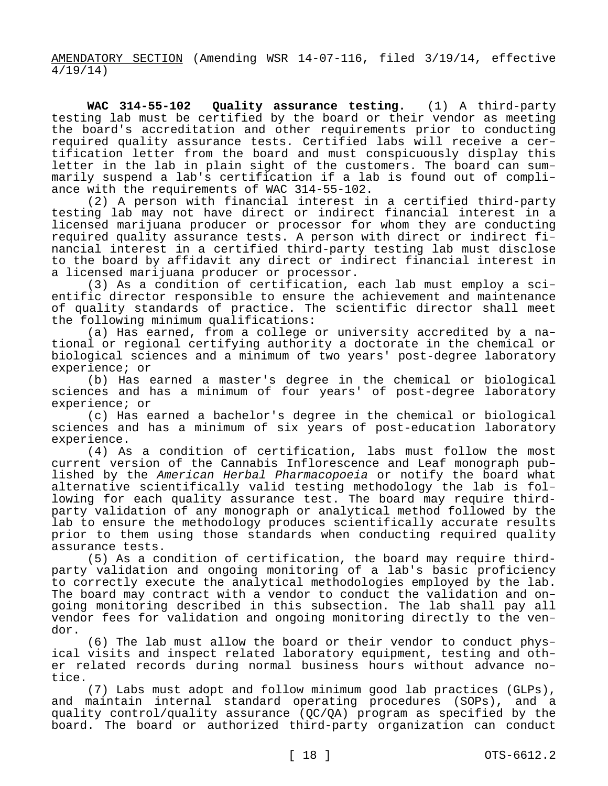AMENDATORY SECTION (Amending WSR 14-07-116, filed 3/19/14, effective 4/19/14)

**WAC 314-55-102 Quality assurance testing.** (1) A third-party testing lab must be certified by the board or their vendor as meeting the board's accreditation and other requirements prior to conducting required quality assurance tests. Certified labs will receive a certification letter from the board and must conspicuously display this letter in the lab in plain sight of the customers. The board can summarily suspend a lab's certification if a lab is found out of compliance with the requirements of WAC 314-55-102.

(2) A person with financial interest in a certified third-party testing lab may not have direct or indirect financial interest in a licensed marijuana producer or processor for whom they are conducting required quality assurance tests. A person with direct or indirect financial interest in a certified third-party testing lab must disclose to the board by affidavit any direct or indirect financial interest in a licensed marijuana producer or processor.

(3) As a condition of certification, each lab must employ a scientific director responsible to ensure the achievement and maintenance of quality standards of practice. The scientific director shall meet the following minimum qualifications:

(a) Has earned, from a college or university accredited by a national or regional certifying authority a doctorate in the chemical or biological sciences and a minimum of two years' post-degree laboratory experience; or

(b) Has earned a master's degree in the chemical or biological sciences and has a minimum of four years' of post-degree laboratory experience; or

(c) Has earned a bachelor's degree in the chemical or biological sciences and has a minimum of six years of post-education laboratory experience.

(4) As a condition of certification, labs must follow the most current version of the Cannabis Inflorescence and Leaf monograph published by the *American Herbal Pharmacopoeia* or notify the board what alternative scientifically valid testing methodology the lab is following for each quality assurance test. The board may require thirdparty validation of any monograph or analytical method followed by the lab to ensure the methodology produces scientifically accurate results prior to them using those standards when conducting required quality assurance tests.

(5) As a condition of certification, the board may require thirdparty validation and ongoing monitoring of a lab's basic proficiency to correctly execute the analytical methodologies employed by the lab. The board may contract with a vendor to conduct the validation and ongoing monitoring described in this subsection. The lab shall pay all vendor fees for validation and ongoing monitoring directly to the vendor.

(6) The lab must allow the board or their vendor to conduct physical visits and inspect related laboratory equipment, testing and other related records during normal business hours without advance notice.

(7) Labs must adopt and follow minimum good lab practices (GLPs), and maintain internal standard operating procedures (SOPs), and a quality control/quality assurance (QC/QA) program as specified by the board. The board or authorized third-party organization can conduct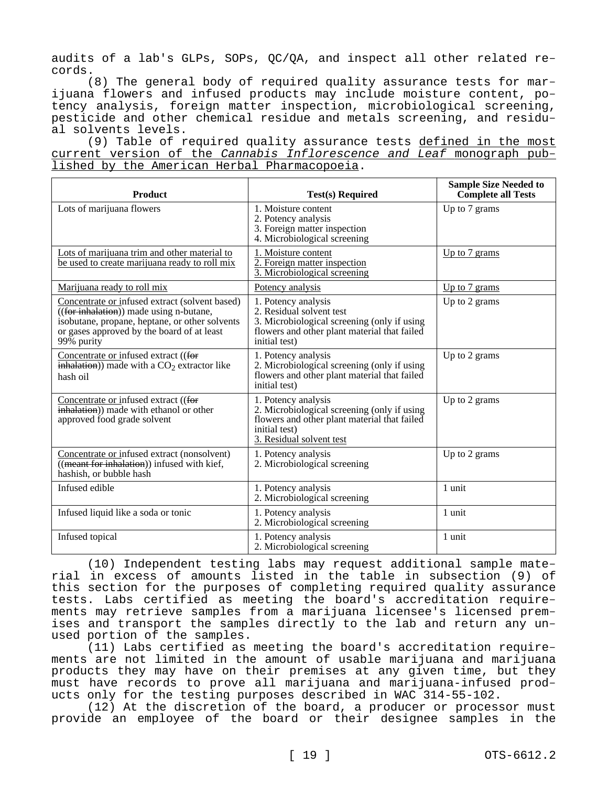audits of a lab's GLPs, SOPs, QC/QA, and inspect all other related records.

(8) The general body of required quality assurance tests for marijuana flowers and infused products may include moisture content, potency analysis, foreign matter inspection, microbiological screening, pesticide and other chemical residue and metals screening, and residual solvents levels.

(9) Table of required quality assurance tests defined in the most current version of the *Cannabis Inflorescence and Leaf* monograph published by the American Herbal Pharmacopoeia.

| <b>Product</b>                                                                                                                                                                                                                | <b>Test(s) Required</b>                                                                                                                                         | <b>Sample Size Needed to</b><br><b>Complete all Tests</b> |
|-------------------------------------------------------------------------------------------------------------------------------------------------------------------------------------------------------------------------------|-----------------------------------------------------------------------------------------------------------------------------------------------------------------|-----------------------------------------------------------|
| Lots of marijuana flowers                                                                                                                                                                                                     | 1. Moisture content<br>2. Potency analysis<br>3. Foreign matter inspection<br>4. Microbiological screening                                                      | Up to 7 grams                                             |
| Lots of marijuana trim and other material to<br>be used to create marijuana ready to roll mix                                                                                                                                 | 1. Moisture content<br>2. Foreign matter inspection<br>3. Microbiological screening                                                                             | Up to 7 grams                                             |
| Marijuana ready to roll mix                                                                                                                                                                                                   | Potency analysis                                                                                                                                                | Up to $7$ grams                                           |
| Concentrate or infused extract (solvent based)<br>$\sqrt{\frac{1}{100}}$ (for inhalation)) made using n-butane,<br>isobutane, propane, heptane, or other solvents<br>or gases approved by the board of at least<br>99% purity | 1. Potency analysis<br>2. Residual solvent test<br>3. Microbiological screening (only if using<br>flowers and other plant material that failed<br>initial test) | Up to 2 grams                                             |
| Concentrate or infused extract ((for<br>$\overline{\mathbf{inhalation}}$ ) made with a $CO2$ extractor like<br>hash oil                                                                                                       | 1. Potency analysis<br>2. Microbiological screening (only if using<br>flowers and other plant material that failed<br>initial test)                             | Up to 2 grams                                             |
| Concentrate or infused extract ((for<br>inhalation)) made with ethanol or other<br>approved food grade solvent                                                                                                                | 1. Potency analysis<br>2. Microbiological screening (only if using<br>flowers and other plant material that failed<br>initial test)<br>3. Residual solvent test | Up to 2 grams                                             |
| Concentrate or infused extract (nonsolvent)<br>$($ (meant for inhalation)) infused with kief,<br>hashish, or bubble hash                                                                                                      | 1. Potency analysis<br>2. Microbiological screening                                                                                                             | Up to 2 grams                                             |
| Infused edible                                                                                                                                                                                                                | 1. Potency analysis<br>2. Microbiological screening                                                                                                             | 1 unit                                                    |
| Infused liquid like a soda or tonic                                                                                                                                                                                           | 1. Potency analysis<br>2. Microbiological screening                                                                                                             | 1 unit                                                    |
| Infused topical                                                                                                                                                                                                               | 1. Potency analysis<br>2. Microbiological screening                                                                                                             | 1 unit                                                    |

(10) Independent testing labs may request additional sample material in excess of amounts listed in the table in subsection (9) of this section for the purposes of completing required quality assurance tests. Labs certified as meeting the board's accreditation requirements may retrieve samples from a marijuana licensee's licensed premises and transport the samples directly to the lab and return any unused portion of the samples.

(11) Labs certified as meeting the board's accreditation requirements are not limited in the amount of usable marijuana and marijuana products they may have on their premises at any given time, but they must have records to prove all marijuana and marijuana-infused products only for the testing purposes described in WAC 314-55-102.

(12) At the discretion of the board, a producer or processor must provide an employee of the board or their designee samples in the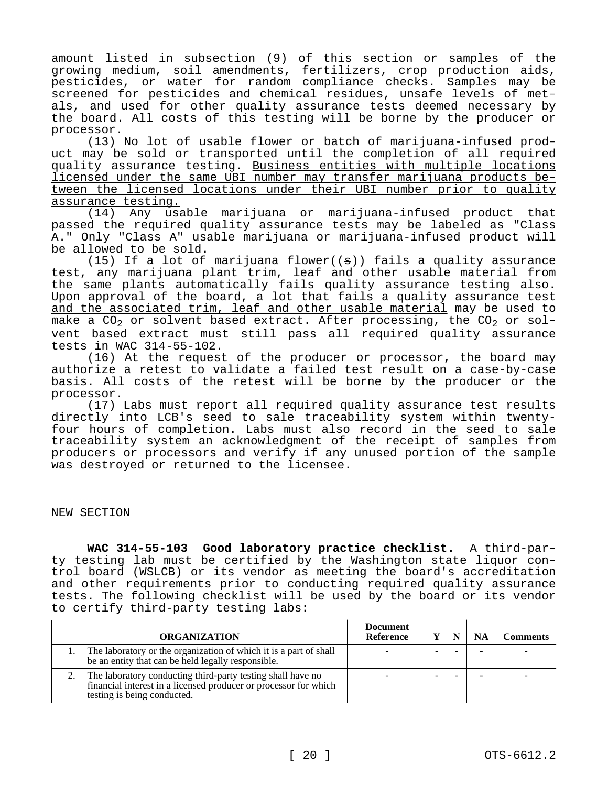amount listed in subsection (9) of this section or samples of the growing medium, soil amendments, fertilizers, crop production aids, pesticides, or water for random compliance checks. Samples may be screened for pesticides and chemical residues, unsafe levels of metals, and used for other quality assurance tests deemed necessary by the board. All costs of this testing will be borne by the producer or processor.

(13) No lot of usable flower or batch of marijuana-infused product may be sold or transported until the completion of all required quality assurance testing. Business entities with multiple locations licensed under the same UBI number may transfer marijuana products between the licensed locations under their UBI number prior to quality assurance testing.

(14) Any usable marijuana or marijuana-infused product that passed the required quality assurance tests may be labeled as "Class A." Only "Class A" usable marijuana or marijuana-infused product will be allowed to be sold.

(15) If a lot of marijuana flower( $(\theta)$ ) fails a quality assurance test, any marijuana plant trim, leaf and other usable material from the same plants automatically fails quality assurance testing also. Upon approval of the board, a lot that fails a quality assurance test and the associated trim, leaf and other usable material may be used to make a CO<sub>2</sub> or solvent based extract. After processing, the CO<sub>2</sub> or solvent based extract must still pass all required quality assurance tests in WAC 314-55-102.

(16) At the request of the producer or processor, the board may authorize a retest to validate a failed test result on a case-by-case basis. All costs of the retest will be borne by the producer or the processor.

(17) Labs must report all required quality assurance test results directly into LCB's seed to sale traceability system within twentyfour hours of completion. Labs must also record in the seed to sale traceability system an acknowledgment of the receipt of samples from producers or processors and verify if any unused portion of the sample was destroyed or returned to the licensee.

## NEW SECTION

**WAC 314-55-103 Good laboratory practice checklist.** A third-party testing lab must be certified by the Washington state liquor control board (WSLCB) or its vendor as meeting the board's accreditation and other requirements prior to conducting required quality assurance tests. The following checklist will be used by the board or its vendor to certify third-party testing labs:

| <b>ORGANIZATION</b>                                                                                                                                            | <b>Document</b><br>Reference |  | <b>Comments</b> |
|----------------------------------------------------------------------------------------------------------------------------------------------------------------|------------------------------|--|-----------------|
| The laboratory or the organization of which it is a part of shall<br>be an entity that can be held legally responsible.                                        |                              |  |                 |
| The laboratory conducting third-party testing shall have no<br>financial interest in a licensed producer or processor for which<br>testing is being conducted. |                              |  |                 |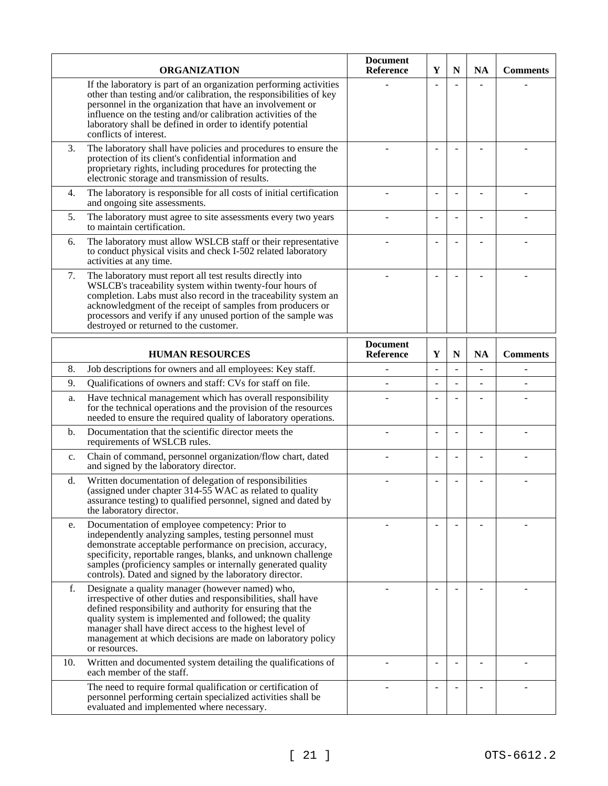|     | <b>ORGANIZATION</b>                                                                                                                                                                                                                                                                                                                                                                    | <b>Document</b><br>Reference        | Y              | $\mathbf N$ | <b>NA</b> | <b>Comments</b> |
|-----|----------------------------------------------------------------------------------------------------------------------------------------------------------------------------------------------------------------------------------------------------------------------------------------------------------------------------------------------------------------------------------------|-------------------------------------|----------------|-------------|-----------|-----------------|
|     | If the laboratory is part of an organization performing activities<br>other than testing and/or calibration, the responsibilities of key<br>personnel in the organization that have an involvement or<br>influence on the testing and/or calibration activities of the<br>laboratory shall be defined in order to identify potential<br>conflicts of interest.                         |                                     |                |             |           |                 |
| 3.  | The laboratory shall have policies and procedures to ensure the<br>protection of its client's confidential information and<br>proprietary rights, including procedures for protecting the<br>electronic storage and transmission of results.                                                                                                                                           |                                     |                |             |           |                 |
| 4.  | The laboratory is responsible for all costs of initial certification<br>and ongoing site assessments.                                                                                                                                                                                                                                                                                  |                                     |                |             |           |                 |
| 5.  | The laboratory must agree to site assessments every two years<br>to maintain certification.                                                                                                                                                                                                                                                                                            |                                     | L.             | L.          |           |                 |
| 6.  | The laboratory must allow WSLCB staff or their representative<br>to conduct physical visits and check I-502 related laboratory<br>activities at any time.                                                                                                                                                                                                                              |                                     |                |             |           |                 |
| 7.  | The laboratory must report all test results directly into<br>WSLCB's traceability system within twenty-four hours of<br>completion. Labs must also record in the traceability system an<br>acknowledgment of the receipt of samples from producers or<br>processors and verify if any unused portion of the sample was<br>destroyed or returned to the customer.                       |                                     |                |             |           |                 |
|     | <b>HUMAN RESOURCES</b>                                                                                                                                                                                                                                                                                                                                                                 | <b>Document</b><br><b>Reference</b> | Y              | N           | <b>NA</b> | <b>Comments</b> |
| 8.  | Job descriptions for owners and all employees: Key staff.                                                                                                                                                                                                                                                                                                                              |                                     | $\overline{a}$ | L           |           |                 |
| 9.  | Qualifications of owners and staff: CVs for staff on file.                                                                                                                                                                                                                                                                                                                             |                                     |                |             |           |                 |
| a.  | Have technical management which has overall responsibility<br>for the technical operations and the provision of the resources<br>needed to ensure the required quality of laboratory operations.                                                                                                                                                                                       |                                     |                |             |           |                 |
| b.  | Documentation that the scientific director meets the<br>requirements of WSLCB rules.                                                                                                                                                                                                                                                                                                   |                                     |                |             |           |                 |
| c.  | Chain of command, personnel organization/flow chart, dated<br>and signed by the laboratory director.                                                                                                                                                                                                                                                                                   |                                     |                |             |           |                 |
| d.  | Written documentation of delegation of responsibilities<br>(assigned under chapter $314-55$ WAC as related to quality<br>assurance testing) to qualified personnel, signed and dated by<br>the laboratory director.                                                                                                                                                                    |                                     |                |             |           |                 |
| e.  | Documentation of employee competency: Prior to<br>independently analyzing samples, testing personnel must<br>demonstrate acceptable performance on precision, accuracy,<br>specificity, reportable ranges, blanks, and unknown challenge<br>samples (proficiency samples or internally generated quality<br>controls). Dated and signed by the laboratory director.                    |                                     |                |             |           |                 |
| f.  | Designate a quality manager (however named) who,<br>irrespective of other duties and responsibilities, shall have<br>defined responsibility and authority for ensuring that the<br>quality system is implemented and followed; the quality<br>manager shall have direct access to the highest level of<br>management at which decisions are made on laboratory policy<br>or resources. |                                     |                |             |           |                 |
| 10. | Written and documented system detailing the qualifications of<br>each member of the staff.                                                                                                                                                                                                                                                                                             |                                     |                | L,          |           |                 |
|     | The need to require formal qualification or certification of<br>personnel performing certain specialized activities shall be<br>evaluated and implemented where necessary.                                                                                                                                                                                                             |                                     |                |             |           |                 |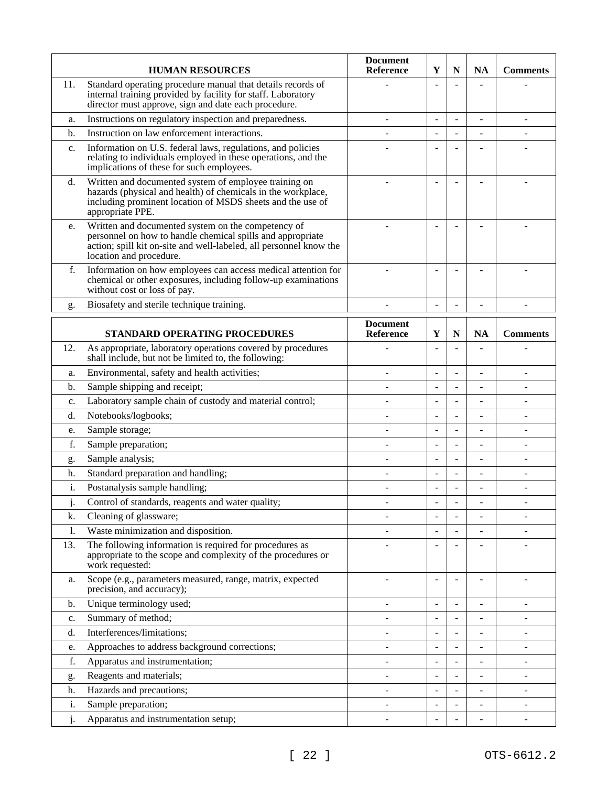|                | <b>HUMAN RESOURCES</b>                                                                                                                                                                                            | <b>Document</b><br><b>Reference</b> | Y                        | N              | <b>NA</b>      | <b>Comments</b>          |
|----------------|-------------------------------------------------------------------------------------------------------------------------------------------------------------------------------------------------------------------|-------------------------------------|--------------------------|----------------|----------------|--------------------------|
| 11.            | Standard operating procedure manual that details records of<br>internal training provided by facility for staff. Laboratory<br>director must approve, sign and date each procedure.                               |                                     | $\overline{a}$           |                |                |                          |
| a.             | Instructions on regulatory inspection and preparedness.                                                                                                                                                           | ۳                                   | $\overline{a}$           | $\overline{a}$ | $\overline{a}$ | ÷                        |
| b.             | Instruction on law enforcement interactions.                                                                                                                                                                      |                                     |                          | $\overline{a}$ |                |                          |
| $\mathbf{c}$ . | Information on U.S. federal laws, regulations, and policies<br>relating to individuals employed in these operations, and the<br>implications of these for such employees.                                         |                                     |                          |                |                |                          |
| d.             | Written and documented system of employee training on<br>hazards (physical and health) of chemicals in the workplace,<br>including prominent location of MSDS sheets and the use of<br>appropriate PPE.           |                                     |                          |                |                |                          |
| e.             | Written and documented system on the competency of<br>personnel on how to handle chemical spills and appropriate<br>action; spill kit on-site and well-labeled, all personnel know the<br>location and procedure. |                                     |                          |                |                |                          |
| f.             | Information on how employees can access medical attention for<br>chemical or other exposures, including follow-up examinations<br>without cost or loss of pay.                                                    |                                     |                          | ۳              |                |                          |
| g.             | Biosafety and sterile technique training.                                                                                                                                                                         |                                     | $\overline{\phantom{a}}$ | L,             |                |                          |
|                | <b>STANDARD OPERATING PROCEDURES</b>                                                                                                                                                                              | <b>Document</b><br>Reference        | Y                        | $\mathbf N$    | <b>NA</b>      | <b>Comments</b>          |
| 12.            | As appropriate, laboratory operations covered by procedures<br>shall include, but not be limited to, the following:                                                                                               |                                     |                          |                |                |                          |
| a.             | Environmental, safety and health activities;                                                                                                                                                                      |                                     | $\overline{a}$           | L,             |                |                          |
| b.             | Sample shipping and receipt;                                                                                                                                                                                      | ۳                                   | $\overline{a}$           | $\overline{a}$ |                | $\blacksquare$           |
| c.             | Laboratory sample chain of custody and material control;                                                                                                                                                          |                                     | $\overline{a}$           | $\overline{a}$ |                |                          |
| d.             | Notebooks/logbooks;                                                                                                                                                                                               |                                     | $\overline{a}$           | L,             |                |                          |
| e.             | Sample storage;                                                                                                                                                                                                   |                                     | $\overline{a}$           | $\overline{a}$ |                | $\blacksquare$           |
| f.             | Sample preparation;                                                                                                                                                                                               |                                     | $\overline{\phantom{0}}$ | L,             |                |                          |
| g.             | Sample analysis;                                                                                                                                                                                                  |                                     |                          | L,             |                |                          |
| h.             | Standard preparation and handling;                                                                                                                                                                                |                                     | $\overline{a}$           | ÷,             |                |                          |
| i.             | Postanalysis sample handling;                                                                                                                                                                                     |                                     |                          | L,             |                |                          |
| j.             | Control of standards, reagents and water quality;                                                                                                                                                                 |                                     |                          | $\overline{a}$ |                |                          |
| k.             | Cleaning of glassware;                                                                                                                                                                                            |                                     |                          |                |                |                          |
| 1.             | Waste minimization and disposition.                                                                                                                                                                               |                                     |                          | $\overline{a}$ |                |                          |
| 13.            | The following information is required for procedures as<br>appropriate to the scope and complexity of the procedures or<br>work requested:                                                                        |                                     |                          |                |                |                          |
| a.             | Scope (e.g., parameters measured, range, matrix, expected<br>precision, and accuracy);                                                                                                                            |                                     | $\overline{a}$           | ÷              |                |                          |
| b.             | Unique terminology used;                                                                                                                                                                                          |                                     | $\overline{a}$           | ÷,             |                |                          |
| c.             | Summary of method;                                                                                                                                                                                                |                                     |                          | ÷,             |                | ÷,                       |
| d.             | Interferences/limitations;                                                                                                                                                                                        | $\blacksquare$                      | $\overline{a}$           | ÷,             |                | $\overline{a}$           |
| e.             | Approaches to address background corrections;                                                                                                                                                                     |                                     | $\overline{\phantom{0}}$ | L,             |                | ٠                        |
| f.             | Apparatus and instrumentation;                                                                                                                                                                                    |                                     |                          | L,             |                | $\blacksquare$           |
| g.             | Reagents and materials;                                                                                                                                                                                           |                                     |                          | $\overline{a}$ |                |                          |
| h.             | Hazards and precautions;                                                                                                                                                                                          | ÷                                   | $\overline{\phantom{a}}$ | L,             |                | $\overline{\phantom{a}}$ |
| i.             | Sample preparation;                                                                                                                                                                                               |                                     |                          | ÷,             |                | $\overline{a}$           |
| j.             | Apparatus and instrumentation setup;                                                                                                                                                                              |                                     |                          |                |                | $\overline{a}$           |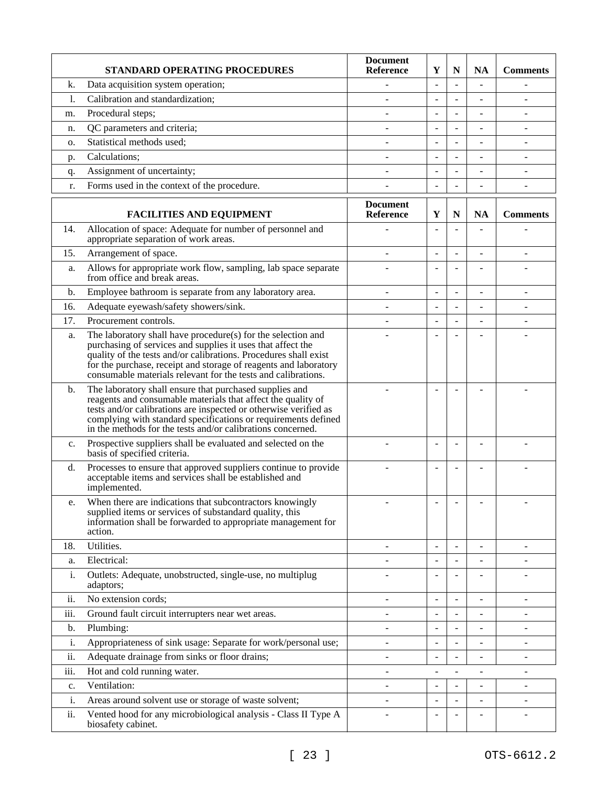|      | <b>STANDARD OPERATING PROCEDURES</b>                                                                                                                                                                                                                                                                                                 | <b>Document</b><br>Reference | Y                        | N              | <b>NA</b>                | <b>Comments</b>          |
|------|--------------------------------------------------------------------------------------------------------------------------------------------------------------------------------------------------------------------------------------------------------------------------------------------------------------------------------------|------------------------------|--------------------------|----------------|--------------------------|--------------------------|
| k.   | Data acquisition system operation;                                                                                                                                                                                                                                                                                                   |                              | $\overline{\phantom{a}}$ | ÷,             |                          |                          |
| 1.   | Calibration and standardization;                                                                                                                                                                                                                                                                                                     |                              | L.                       |                |                          |                          |
| m.   | Procedural steps;                                                                                                                                                                                                                                                                                                                    |                              | ÷,                       | ÷              |                          | $\blacksquare$           |
| n.   | QC parameters and criteria;                                                                                                                                                                                                                                                                                                          |                              | $\overline{a}$           | ÷,             |                          |                          |
| о.   | Statistical methods used;                                                                                                                                                                                                                                                                                                            |                              | $\overline{a}$           | $\overline{a}$ |                          |                          |
| p.   | Calculations;                                                                                                                                                                                                                                                                                                                        |                              |                          |                |                          |                          |
| q.   | Assignment of uncertainty;                                                                                                                                                                                                                                                                                                           |                              | $\overline{a}$           | L              |                          |                          |
| r.   | Forms used in the context of the procedure.                                                                                                                                                                                                                                                                                          |                              |                          | $\overline{a}$ |                          |                          |
|      | <b>FACILITIES AND EQUIPMENT</b>                                                                                                                                                                                                                                                                                                      | <b>Document</b><br>Reference | Y                        | $\mathbf N$    | <b>NA</b>                | <b>Comments</b>          |
| 14.  | Allocation of space: Adequate for number of personnel and<br>appropriate separation of work areas.                                                                                                                                                                                                                                   |                              | $\overline{a}$           | L              |                          |                          |
| 15.  | Arrangement of space.                                                                                                                                                                                                                                                                                                                |                              |                          | $\overline{a}$ |                          |                          |
| a.   | Allows for appropriate work flow, sampling, lab space separate<br>from office and break areas.                                                                                                                                                                                                                                       |                              | $\overline{\phantom{a}}$ | ÷,             |                          |                          |
| b.   | Employee bathroom is separate from any laboratory area.                                                                                                                                                                                                                                                                              | $\overline{a}$               | L,                       | $\overline{a}$ |                          | ÷,                       |
| 16.  | Adequate eyewash/safety showers/sink.                                                                                                                                                                                                                                                                                                |                              | $\overline{a}$           | ÷,             |                          |                          |
| 17.  | Procurement controls.                                                                                                                                                                                                                                                                                                                |                              | ÷,                       | ÷              |                          |                          |
| a.   | The laboratory shall have procedure(s) for the selection and<br>purchasing of services and supplies it uses that affect the<br>quality of the tests and/or calibrations. Procedures shall exist<br>for the purchase, receipt and storage of reagents and laboratory<br>consumable materials relevant for the tests and calibrations. |                              |                          |                |                          |                          |
| b.   | The laboratory shall ensure that purchased supplies and<br>reagents and consumable materials that affect the quality of<br>tests and/or calibrations are inspected or otherwise verified as<br>complying with standard specifications or requirements defined<br>in the methods for the tests and/or calibrations concerned.         |                              |                          |                |                          |                          |
| c.   | Prospective suppliers shall be evaluated and selected on the<br>basis of specified criteria.                                                                                                                                                                                                                                         |                              | $\overline{a}$           | L.             |                          |                          |
| d.   | Processes to ensure that approved suppliers continue to provide<br>acceptable items and services shall be established and<br>implemented.                                                                                                                                                                                            |                              |                          |                |                          |                          |
| e.   | When there are indications that subcontractors knowingly<br>supplied items or services of substandard quality, this<br>information shall be forwarded to appropriate management for<br>action.                                                                                                                                       |                              |                          |                |                          |                          |
| 18.  | Utilities.                                                                                                                                                                                                                                                                                                                           |                              | ÷.                       | L.             |                          |                          |
| a.   | Electrical:                                                                                                                                                                                                                                                                                                                          |                              |                          | $\overline{a}$ |                          | $\blacksquare$           |
| i.   | Outlets: Adequate, unobstructed, single-use, no multiplug<br>adaptors;                                                                                                                                                                                                                                                               |                              |                          |                |                          |                          |
| ii.  | No extension cords;                                                                                                                                                                                                                                                                                                                  |                              |                          |                |                          |                          |
| iii. | Ground fault circuit interrupters near wet areas.                                                                                                                                                                                                                                                                                    |                              |                          | $\overline{a}$ |                          |                          |
| b.   | Plumbing:                                                                                                                                                                                                                                                                                                                            |                              |                          | ÷,             |                          | $\overline{a}$           |
| i.   | Appropriateness of sink usage: Separate for work/personal use;                                                                                                                                                                                                                                                                       | ÷,                           | L,                       | $\overline{a}$ |                          | $\overline{\phantom{a}}$ |
| ii.  | Adequate drainage from sinks or floor drains;                                                                                                                                                                                                                                                                                        |                              |                          | ÷,             |                          | $\blacksquare$           |
| iii. | Hot and cold running water.                                                                                                                                                                                                                                                                                                          |                              |                          |                |                          |                          |
| c.   | Ventilation:                                                                                                                                                                                                                                                                                                                         |                              |                          | L,             | $\overline{\phantom{a}}$ | $\blacksquare$           |
| i.   | Areas around solvent use or storage of waste solvent;                                                                                                                                                                                                                                                                                |                              |                          | $\overline{a}$ |                          |                          |
| ii.  | Vented hood for any microbiological analysis - Class II Type A<br>biosafety cabinet.                                                                                                                                                                                                                                                 |                              | $\overline{\phantom{a}}$ | $\overline{a}$ |                          |                          |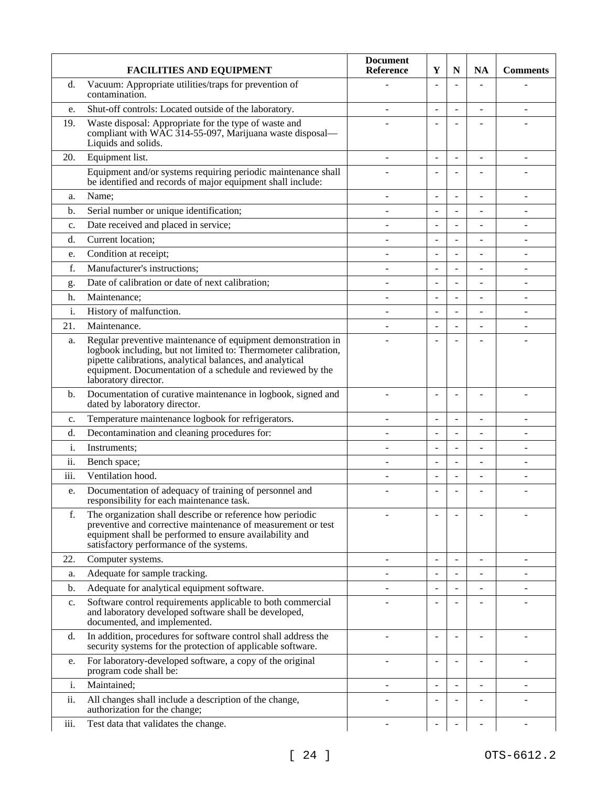|                | <b>FACILITIES AND EQUIPMENT</b>                                                                                                                                                                                                                                                    | <b>Document</b><br>Reference | Y                        | $\mathbf N$              | <b>NA</b>                | <b>Comments</b>          |
|----------------|------------------------------------------------------------------------------------------------------------------------------------------------------------------------------------------------------------------------------------------------------------------------------------|------------------------------|--------------------------|--------------------------|--------------------------|--------------------------|
| d.             | Vacuum: Appropriate utilities/traps for prevention of<br>contamination.                                                                                                                                                                                                            |                              | $\overline{a}$           | $\overline{a}$           |                          |                          |
| e.             | Shut-off controls: Located outside of the laboratory.                                                                                                                                                                                                                              |                              | $\ddot{\phantom{1}}$     | $\overline{\phantom{a}}$ | $\overline{\phantom{a}}$ | $\overline{\phantom{a}}$ |
| 19.            | Waste disposal: Appropriate for the type of waste and<br>compliant with WAC 314-55-097, Marijuana waste disposal—<br>Liquids and solids.                                                                                                                                           |                              |                          |                          |                          |                          |
| 20.            | Equipment list.                                                                                                                                                                                                                                                                    | ÷.                           | $\overline{a}$           | $\overline{a}$           | $\overline{a}$           | $\blacksquare$           |
|                | Equipment and/or systems requiring periodic maintenance shall<br>be identified and records of major equipment shall include:                                                                                                                                                       |                              |                          | $\overline{a}$           |                          |                          |
| a.             | Name;                                                                                                                                                                                                                                                                              |                              | $\overline{a}$           | $\overline{a}$           |                          |                          |
| b.             | Serial number or unique identification;                                                                                                                                                                                                                                            |                              | $\overline{a}$           | $\overline{\phantom{a}}$ | L,                       |                          |
| c.             | Date received and placed in service;                                                                                                                                                                                                                                               |                              | $\blacksquare$           | $\overline{a}$           |                          |                          |
| d.             | Current location;                                                                                                                                                                                                                                                                  |                              |                          | $\overline{a}$           |                          |                          |
| e.             | Condition at receipt;                                                                                                                                                                                                                                                              |                              | $\overline{a}$           | $\overline{a}$           |                          |                          |
| f.             | Manufacturer's instructions;                                                                                                                                                                                                                                                       |                              | $\overline{a}$           | ÷,                       |                          | $\overline{\phantom{a}}$ |
| g.             | Date of calibration or date of next calibration;                                                                                                                                                                                                                                   |                              | $\overline{a}$           | $\overline{a}$           | $\overline{a}$           |                          |
| h.             | Maintenance;                                                                                                                                                                                                                                                                       |                              |                          | ÷,                       |                          |                          |
| i.             | History of malfunction.                                                                                                                                                                                                                                                            | ۰                            | ÷.                       | ÷.                       | $\blacksquare$           |                          |
| 21.            | Maintenance.                                                                                                                                                                                                                                                                       |                              |                          | L,                       |                          |                          |
| a.             | Regular preventive maintenance of equipment demonstration in<br>logbook including, but not limited to: Thermometer calibration,<br>pipette calibrations, analytical balances, and analytical<br>equipment. Documentation of a schedule and reviewed by the<br>laboratory director. |                              |                          |                          |                          |                          |
| b.             | Documentation of curative maintenance in logbook, signed and<br>dated by laboratory director.                                                                                                                                                                                      |                              | $\overline{a}$           | $\overline{a}$           | $\blacksquare$           |                          |
| $\mathbf{c}$ . | Temperature maintenance logbook for refrigerators.                                                                                                                                                                                                                                 | ۰                            | $\overline{\phantom{a}}$ | $\overline{a}$           | ÷                        | ÷                        |
| d.             | Decontamination and cleaning procedures for:                                                                                                                                                                                                                                       |                              |                          |                          |                          |                          |
| i.             | Instruments;                                                                                                                                                                                                                                                                       |                              | $\overline{a}$           | ÷,                       |                          |                          |
| ii.            | Bench space;                                                                                                                                                                                                                                                                       | ۳                            | $\overline{a}$           | $\overline{a}$           | ÷                        | ÷.                       |
| iii.           | Ventilation hood.                                                                                                                                                                                                                                                                  |                              |                          | $\overline{a}$           |                          |                          |
| e.             | Documentation of adequacy of training of personnel and<br>responsibility for each maintenance task.                                                                                                                                                                                |                              | $\blacksquare$           | ÷,                       |                          |                          |
| f.             | The organization shall describe or reference how periodic<br>preventive and corrective maintenance of measurement or test<br>equipment shall be performed to ensure availability and<br>satisfactory performance of the systems.                                                   |                              | $\blacksquare$           |                          |                          |                          |
| 22.            | Computer systems.                                                                                                                                                                                                                                                                  |                              | $\overline{a}$           | ÷,                       |                          |                          |
| a.             | Adequate for sample tracking.                                                                                                                                                                                                                                                      |                              | $\overline{a}$           | $\overline{\phantom{a}}$ | $\overline{\phantom{0}}$ |                          |
| b.             | Adequate for analytical equipment software.                                                                                                                                                                                                                                        |                              |                          | $\overline{a}$           |                          |                          |
| c.             | Software control requirements applicable to both commercial<br>and laboratory developed software shall be developed,<br>documented, and implemented.                                                                                                                               |                              |                          |                          |                          |                          |
| d.             | In addition, procedures for software control shall address the<br>security systems for the protection of applicable software.                                                                                                                                                      |                              |                          |                          |                          |                          |
| e.             | For laboratory-developed software, a copy of the original<br>program code shall be:                                                                                                                                                                                                |                              | $\ddot{\phantom{1}}$     | L,                       |                          |                          |
| i.             | Maintained;                                                                                                                                                                                                                                                                        | ۳                            | $\ddot{\phantom{1}}$     | $\overline{a}$           | ÷.                       | ÷.                       |
| ii.            | All changes shall include a description of the change,<br>authorization for the change;                                                                                                                                                                                            |                              |                          |                          |                          |                          |
| iii.           | Test data that validates the change.                                                                                                                                                                                                                                               | ÷.                           | $\blacksquare$           |                          | $\blacksquare$           | $\sim$                   |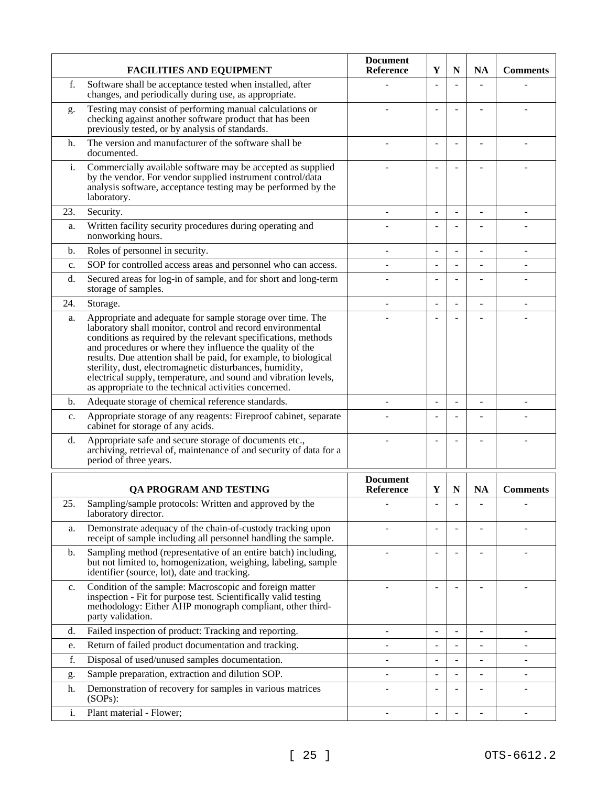|                | <b>FACILITIES AND EQUIPMENT</b>                                                                                                                                                                                                                                                                                                                                                                                                                                                                                     | <b>Document</b><br><b>Reference</b> | Y                        | N              | <b>NA</b>      | <b>Comments</b> |
|----------------|---------------------------------------------------------------------------------------------------------------------------------------------------------------------------------------------------------------------------------------------------------------------------------------------------------------------------------------------------------------------------------------------------------------------------------------------------------------------------------------------------------------------|-------------------------------------|--------------------------|----------------|----------------|-----------------|
| f.             | Software shall be acceptance tested when installed, after<br>changes, and periodically during use, as appropriate.                                                                                                                                                                                                                                                                                                                                                                                                  |                                     | $\overline{a}$           |                |                |                 |
| g.             | Testing may consist of performing manual calculations or<br>checking against another software product that has been<br>previously tested, or by analysis of standards.                                                                                                                                                                                                                                                                                                                                              |                                     |                          |                |                |                 |
| h.             | The version and manufacturer of the software shall be<br>documented.                                                                                                                                                                                                                                                                                                                                                                                                                                                |                                     |                          | L,             |                |                 |
| i.             | Commercially available software may be accepted as supplied<br>by the vendor. For vendor supplied instrument control/data<br>analysis software, acceptance testing may be performed by the<br>laboratory.                                                                                                                                                                                                                                                                                                           |                                     |                          |                |                |                 |
| 23.            | Security.                                                                                                                                                                                                                                                                                                                                                                                                                                                                                                           |                                     |                          | $\overline{a}$ |                |                 |
| a.             | Written facility security procedures during operating and<br>nonworking hours.                                                                                                                                                                                                                                                                                                                                                                                                                                      |                                     | $\overline{a}$           | ۰              |                |                 |
| b.             | Roles of personnel in security.                                                                                                                                                                                                                                                                                                                                                                                                                                                                                     |                                     | $\overline{a}$           | $\overline{a}$ |                | $\overline{a}$  |
| c.             | SOP for controlled access areas and personnel who can access.                                                                                                                                                                                                                                                                                                                                                                                                                                                       | ۳                                   | $\blacksquare$           | $\overline{a}$ |                |                 |
| d.             | Secured areas for log-in of sample, and for short and long-term<br>storage of samples.                                                                                                                                                                                                                                                                                                                                                                                                                              |                                     | $\overline{\phantom{0}}$ | ۳              |                |                 |
| 24.            | Storage.                                                                                                                                                                                                                                                                                                                                                                                                                                                                                                            | ÷                                   | $\overline{\phantom{a}}$ | ÷              |                | $\blacksquare$  |
| a.             | Appropriate and adequate for sample storage over time. The<br>laboratory shall monitor, control and record environmental<br>conditions as required by the relevant specifications, methods<br>and procedures or where they influence the quality of the<br>results. Due attention shall be paid, for example, to biological<br>sterility, dust, electromagnetic disturbances, humidity,<br>electrical supply, temperature, and sound and vibration levels,<br>as appropriate to the technical activities concerned. |                                     |                          |                |                |                 |
| b.             | Adequate storage of chemical reference standards.                                                                                                                                                                                                                                                                                                                                                                                                                                                                   |                                     | $\overline{\phantom{a}}$ | $\overline{a}$ |                |                 |
| c.             | Appropriate storage of any reagents: Fireproof cabinet, separate<br>cabinet for storage of any acids.                                                                                                                                                                                                                                                                                                                                                                                                               |                                     | $\overline{\phantom{0}}$ | ۰              |                |                 |
| d.             | Appropriate safe and secure storage of documents etc.,<br>archiving, retrieval of, maintenance of and security of data for a<br>period of three years.                                                                                                                                                                                                                                                                                                                                                              |                                     | ÷.                       | ۳              |                |                 |
|                |                                                                                                                                                                                                                                                                                                                                                                                                                                                                                                                     | <b>Document</b>                     |                          |                |                |                 |
|                | <b>QA PROGRAM AND TESTING</b>                                                                                                                                                                                                                                                                                                                                                                                                                                                                                       | <b>Reference</b>                    | Y                        | $\mathbf N$    | <b>NA</b>      | <b>Comments</b> |
| 25.            | Sampling/sample protocols: Written and approved by the<br>laboratory director.                                                                                                                                                                                                                                                                                                                                                                                                                                      |                                     |                          |                |                |                 |
| a.             | Demonstrate adequacy of the chain-of-custody tracking upon<br>receipt of sample including all personnel handling the sample.                                                                                                                                                                                                                                                                                                                                                                                        |                                     | $\blacksquare$           |                |                |                 |
| b.             | Sampling method (representative of an entire batch) including,<br>but not limited to, homogenization, weighing, labeling, sample<br>identifier (source, lot), date and tracking.                                                                                                                                                                                                                                                                                                                                    |                                     | $\overline{\phantom{a}}$ | L,             |                |                 |
| c.             | Condition of the sample: Macroscopic and foreign matter<br>inspection - Fit for purpose test. Scientifically valid testing<br>methodology: Either AHP monograph compliant, other third-<br>party validation.                                                                                                                                                                                                                                                                                                        |                                     |                          |                |                |                 |
| d.             | Failed inspection of product: Tracking and reporting.                                                                                                                                                                                                                                                                                                                                                                                                                                                               | $\overline{\phantom{a}}$            | $\overline{\phantom{a}}$ | ÷,             | $\blacksquare$ | $\frac{1}{2}$   |
| e.             | Return of failed product documentation and tracking.                                                                                                                                                                                                                                                                                                                                                                                                                                                                |                                     | $\overline{a}$           | $\overline{a}$ | $\overline{a}$ |                 |
| f.             | Disposal of used/unused samples documentation.                                                                                                                                                                                                                                                                                                                                                                                                                                                                      |                                     | $\overline{a}$           | $\overline{a}$ |                |                 |
| g.             | Sample preparation, extraction and dilution SOP.                                                                                                                                                                                                                                                                                                                                                                                                                                                                    | ٠                                   | $\overline{a}$           | $\overline{a}$ | $\overline{a}$ | $\overline{a}$  |
| h.             | Demonstration of recovery for samples in various matrices<br>$(SOPs)$ :                                                                                                                                                                                                                                                                                                                                                                                                                                             |                                     |                          | ۰              |                |                 |
| $\mathbf{i}$ . | Plant material - Flower;                                                                                                                                                                                                                                                                                                                                                                                                                                                                                            |                                     |                          |                |                |                 |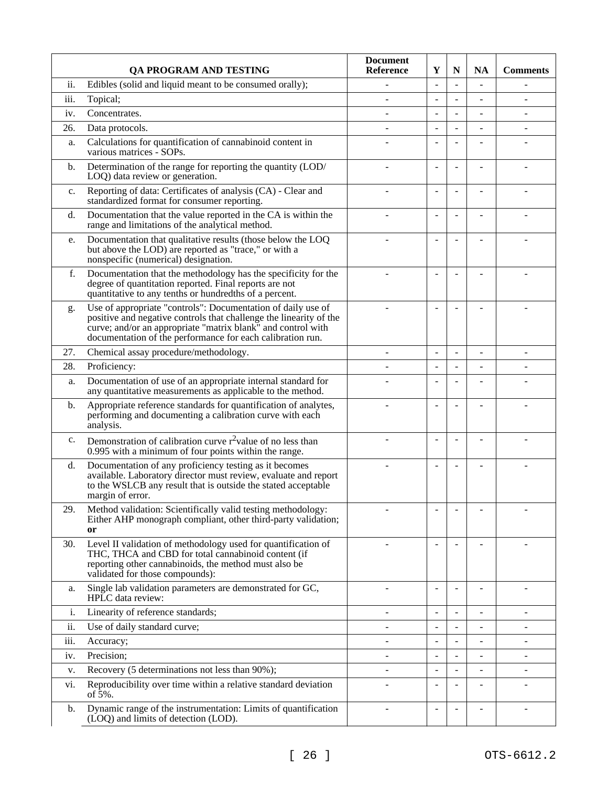|                | <b>QA PROGRAM AND TESTING</b>                                                                                                                                                                                                                                    | <b>Document</b><br><b>Reference</b> | Y                        | N                        | <b>NA</b>                | <b>Comments</b>          |
|----------------|------------------------------------------------------------------------------------------------------------------------------------------------------------------------------------------------------------------------------------------------------------------|-------------------------------------|--------------------------|--------------------------|--------------------------|--------------------------|
| ii.            | Edibles (solid and liquid meant to be consumed orally);                                                                                                                                                                                                          |                                     | $\overline{a}$           | $\overline{a}$           |                          |                          |
| iii.           | Topical;                                                                                                                                                                                                                                                         |                                     | $\overline{a}$           | ÷                        |                          |                          |
| iv.            | Concentrates.                                                                                                                                                                                                                                                    | ÷                                   | $\overline{a}$           | $\overline{a}$           |                          | $\overline{a}$           |
| 26.            | Data protocols.                                                                                                                                                                                                                                                  |                                     | $\overline{a}$           | $\overline{a}$           |                          |                          |
| a.             | Calculations for quantification of cannabinoid content in<br>various matrices - SOPs.                                                                                                                                                                            |                                     |                          | $\overline{a}$           |                          |                          |
| b.             | Determination of the range for reporting the quantity (LOD/<br>LOQ) data review or generation.                                                                                                                                                                   |                                     | $\overline{a}$           | L,                       |                          |                          |
| c.             | Reporting of data: Certificates of analysis (CA) - Clear and<br>standardized format for consumer reporting.                                                                                                                                                      |                                     | $\blacksquare$           | $\overline{\phantom{a}}$ |                          |                          |
| d.             | Documentation that the value reported in the CA is within the<br>range and limitations of the analytical method.                                                                                                                                                 |                                     | $\overline{a}$           | ÷                        |                          |                          |
| e.             | Documentation that qualitative results (those below the LOQ<br>but above the LOD) are reported as "trace," or with a<br>nonspecific (numerical) designation.                                                                                                     |                                     | $\overline{a}$           |                          |                          |                          |
| f.             | Documentation that the methodology has the specificity for the<br>degree of quantitation reported. Final reports are not<br>quantitative to any tenths or hundredths of a percent.                                                                               |                                     |                          |                          |                          |                          |
| g.             | Use of appropriate "controls": Documentation of daily use of<br>positive and negative controls that challenge the linearity of the<br>curve; and/or an appropriate "matrix blank" and control with<br>documentation of the performance for each calibration run. |                                     |                          |                          |                          |                          |
| 27.            | Chemical assay procedure/methodology.                                                                                                                                                                                                                            | ÷,                                  | $\overline{\phantom{a}}$ | $\overline{\phantom{0}}$ | $\overline{\phantom{a}}$ | $\overline{a}$           |
| 28.            | Proficiency:                                                                                                                                                                                                                                                     |                                     | $\overline{a}$           | ÷,                       |                          |                          |
| a.             | Documentation of use of an appropriate internal standard for<br>any quantitative measurements as applicable to the method.                                                                                                                                       |                                     |                          | L,                       |                          |                          |
| b.             | Appropriate reference standards for quantification of analytes,<br>performing and documenting a calibration curve with each<br>analysis.                                                                                                                         |                                     | $\overline{a}$           |                          |                          |                          |
| $\mathbf{c}$ . | Demonstration of calibration curve r <sup>2</sup> value of no less than<br>0.995 with a minimum of four points within the range.                                                                                                                                 |                                     | $\blacksquare$           | ۰                        |                          |                          |
| d.             | Documentation of any proficiency testing as it becomes<br>available. Laboratory director must review, evaluate and report<br>to the WSLCB any result that is outside the stated acceptable<br>margin of error.                                                   |                                     |                          |                          |                          |                          |
| 29.            | Method validation: Scientifically valid testing methodology:<br>Either AHP monograph compliant, other third-party validation;<br>or                                                                                                                              |                                     |                          |                          |                          |                          |
| 30.            | Level II validation of methodology used for quantification of<br>THC, THCA and CBD for total cannabinoid content (if<br>reporting other cannabinoids, the method must also be<br>validated for those compounds):                                                 |                                     | $\overline{a}$           | $\overline{a}$           |                          |                          |
| a.             | Single lab validation parameters are demonstrated for GC,<br>HPLC data review:                                                                                                                                                                                   |                                     |                          |                          |                          |                          |
| i.             | Linearity of reference standards;                                                                                                                                                                                                                                |                                     | ÷.                       |                          |                          | ÷                        |
| ii.            | Use of daily standard curve;                                                                                                                                                                                                                                     |                                     |                          | ÷,                       |                          | ٠                        |
| iii.           | Accuracy;                                                                                                                                                                                                                                                        |                                     |                          | L,                       |                          |                          |
| iv.            | Precision;                                                                                                                                                                                                                                                       | $\overline{\phantom{0}}$            | $\overline{\phantom{a}}$ | $\overline{a}$           |                          | $\overline{\phantom{a}}$ |
| v.             | Recovery (5 determinations not less than 90%);                                                                                                                                                                                                                   | ÷                                   | $\overline{a}$           | ÷,                       |                          |                          |
| vi.            | Reproducibility over time within a relative standard deviation<br>of $5\%$ .                                                                                                                                                                                     |                                     | $\overline{\phantom{a}}$ | L,                       |                          |                          |
| b.             | Dynamic range of the instrumentation: Limits of quantification<br>(LOQ) and limits of detection (LOD).                                                                                                                                                           |                                     | $\overline{\phantom{a}}$ | L,                       |                          |                          |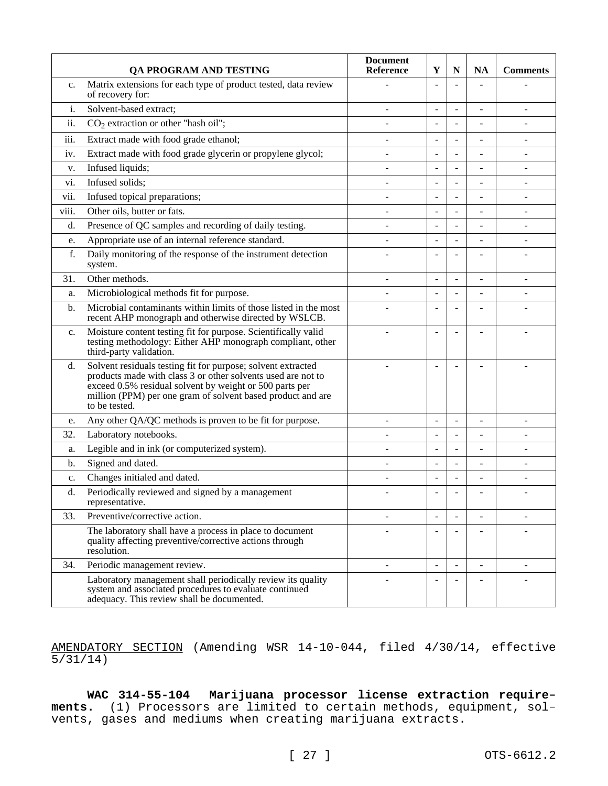|             | QA PROGRAM AND TESTING                                                                                                                                                                                                                                                  | <b>Document</b><br><b>Reference</b> | Y                        | $\mathbf N$              | <b>NA</b>                | <b>Comments</b>          |
|-------------|-------------------------------------------------------------------------------------------------------------------------------------------------------------------------------------------------------------------------------------------------------------------------|-------------------------------------|--------------------------|--------------------------|--------------------------|--------------------------|
| $C_{\star}$ | Matrix extensions for each type of product tested, data review<br>of recovery for:                                                                                                                                                                                      |                                     | ÷,                       |                          |                          |                          |
| i.          | Solvent-based extract;                                                                                                                                                                                                                                                  |                                     | $\blacksquare$           | $\overline{a}$           | $\overline{a}$           |                          |
| ii.         | $CO2$ extraction or other "hash oil";                                                                                                                                                                                                                                   |                                     | $\blacksquare$           | $\overline{a}$           |                          |                          |
| iii.        | Extract made with food grade ethanol;                                                                                                                                                                                                                                   |                                     | $\blacksquare$           | ÷,                       | ÷.                       | ÷.                       |
| iv.         | Extract made with food grade glycerin or propylene glycol;                                                                                                                                                                                                              |                                     | $\overline{\phantom{a}}$ | $\overline{a}$           |                          |                          |
| v.          | Infused liquids;                                                                                                                                                                                                                                                        |                                     | $\blacksquare$           | ÷,                       |                          |                          |
| vi.         | Infused solids;                                                                                                                                                                                                                                                         |                                     | $\overline{\phantom{a}}$ |                          |                          |                          |
| vii.        | Infused topical preparations;                                                                                                                                                                                                                                           |                                     | $\blacksquare$           | $\overline{a}$           |                          |                          |
| viii.       | Other oils, butter or fats.                                                                                                                                                                                                                                             |                                     | $\overline{\phantom{a}}$ | L,                       |                          |                          |
| d.          | Presence of QC samples and recording of daily testing.                                                                                                                                                                                                                  |                                     | $\overline{\phantom{a}}$ | $\overline{a}$           |                          |                          |
| e.          | Appropriate use of an internal reference standard.                                                                                                                                                                                                                      |                                     | L.                       |                          |                          |                          |
| f.          | Daily monitoring of the response of the instrument detection<br>system.                                                                                                                                                                                                 |                                     |                          |                          |                          |                          |
| 31.         | Other methods.                                                                                                                                                                                                                                                          |                                     | $\overline{\phantom{a}}$ | $\overline{a}$           |                          |                          |
| a.          | Microbiological methods fit for purpose.                                                                                                                                                                                                                                |                                     | $\blacksquare$           | ÷,                       | L,                       |                          |
| b.          | Microbial contaminants within limits of those listed in the most<br>recent AHP monograph and otherwise directed by WSLCB.                                                                                                                                               |                                     |                          |                          |                          |                          |
| c.          | Moisture content testing fit for purpose. Scientifically valid<br>testing methodology: Either AHP monograph compliant, other<br>third-party validation.                                                                                                                 |                                     |                          |                          |                          |                          |
| d.          | Solvent residuals testing fit for purpose; solvent extracted<br>products made with class 3 or other solvents used are not to<br>exceed 0.5% residual solvent by weight or 500 parts per<br>million (PPM) per one gram of solvent based product and are<br>to be tested. |                                     |                          |                          |                          |                          |
| e.          | Any other QA/QC methods is proven to be fit for purpose.                                                                                                                                                                                                                |                                     | $\blacksquare$           |                          |                          |                          |
| 32.         | Laboratory notebooks.                                                                                                                                                                                                                                                   |                                     |                          | $\overline{a}$           |                          |                          |
| a.          | Legible and in ink (or computerized system).                                                                                                                                                                                                                            |                                     | $\sim$                   | $\overline{a}$           | L.                       |                          |
| b.          | Signed and dated.                                                                                                                                                                                                                                                       |                                     | $\overline{a}$           | $\overline{a}$           |                          |                          |
| c.          | Changes initialed and dated.                                                                                                                                                                                                                                            |                                     | $\blacksquare$           | $\overline{a}$           |                          |                          |
| d.          | Periodically reviewed and signed by a management<br>representative.                                                                                                                                                                                                     |                                     | ÷                        |                          |                          |                          |
| 33.         | Preventive/corrective action.                                                                                                                                                                                                                                           |                                     |                          |                          |                          |                          |
|             | The laboratory shall have a process in place to document<br>quality affecting preventive/corrective actions through<br>resolution.                                                                                                                                      |                                     | $\blacksquare$           | ÷                        |                          |                          |
| 34.         | Periodic management review.                                                                                                                                                                                                                                             | ÷                                   | $\sim$                   | $\overline{\phantom{a}}$ | $\overline{\phantom{a}}$ | $\overline{\phantom{a}}$ |
|             | Laboratory management shall periodically review its quality<br>system and associated procedures to evaluate continued<br>adequacy. This review shall be documented.                                                                                                     |                                     |                          |                          |                          |                          |

AMENDATORY SECTION (Amending WSR 14-10-044, filed 4/30/14, effective  $\overline{5/31/14)}$ 

**WAC 314-55-104 Marijuana processor license extraction requirements.** (1) Processors are limited to certain methods, equipment, solvents, gases and mediums when creating marijuana extracts.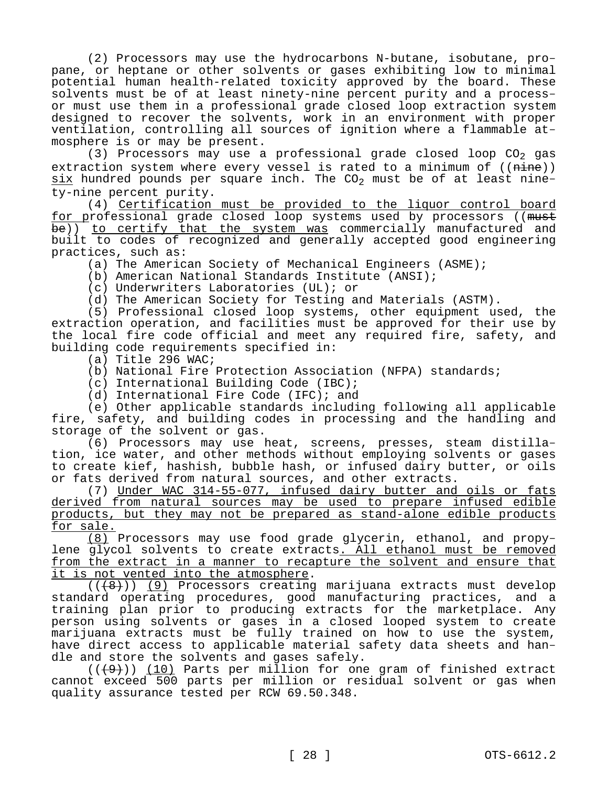(2) Processors may use the hydrocarbons N-butane, isobutane, propane, or heptane or other solvents or gases exhibiting low to minimal potential human health-related toxicity approved by the board. These solvents must be of at least ninety-nine percent purity and a processor must use them in a professional grade closed loop extraction system designed to recover the solvents, work in an environment with proper ventilation, controlling all sources of ignition where a flammable atmosphere is or may be present.

(3) Processors may use a professional grade closed loop  $CO<sub>2</sub>$  gas extraction system where every vessel is rated to a minimum of ((nine))  $six$  hundred pounds per square inch. The CO<sub>2</sub> must be of at least ninety-nine percent purity.

(4) Certification must be provided to the liquor control board for professional grade closed loop systems used by processors ((must be)) to certify that the system was commercially manufactured and built to codes of recognized and generally accepted good engineering practices, such as:

(a) The American Society of Mechanical Engineers (ASME);

(b) American National Standards Institute (ANSI);

(c) Underwriters Laboratories (UL); or

(d) The American Society for Testing and Materials (ASTM).

(5) Professional closed loop systems, other equipment used, the extraction operation, and facilities must be approved for their use by the local fire code official and meet any required fire, safety, and building code requirements specified in:

(a) Title 296 WAC;

(b) National Fire Protection Association (NFPA) standards;

(c) International Building Code (IBC);

(d) International Fire Code (IFC); and

(e) Other applicable standards including following all applicable fire, safety, and building codes in processing and the handling and storage of the solvent or gas.

(6) Processors may use heat, screens, presses, steam distillation, ice water, and other methods without employing solvents or gases to create kief, hashish, bubble hash, or infused dairy butter, or oils or fats derived from natural sources, and other extracts.

(7) Under WAC 314-55-077, infused dairy butter and oils or fats derived from natural sources may be used to prepare infused edible products, but they may not be prepared as stand-alone edible products for sale.

(8) Processors may use food grade glycerin, ethanol, and propylene glycol solvents to create extracts. All ethanol must be removed from the extract in a manner to recapture the solvent and ensure that it is not vented into the atmosphere.

 $((+8))$  (9) Processors creating marijuana extracts must develop standard operating procedures, good manufacturing practices, and a training plan prior to producing extracts for the marketplace. Any person using solvents or gases in a closed looped system to create marijuana extracts must be fully trained on how to use the system, have direct access to applicable material safety data sheets and handle and store the solvents and gases safely.

 $((+9))$  (10) Parts per million for one gram of finished extract cannot exceed 500 parts per million or residual solvent or gas when quality assurance tested per RCW 69.50.348.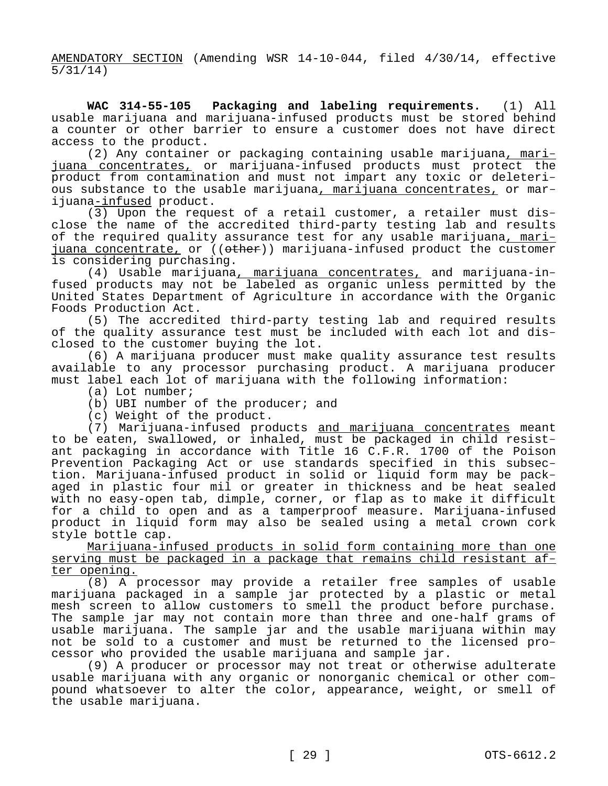AMENDATORY SECTION (Amending WSR 14-10-044, filed 4/30/14, effective 5/31/14)

**WAC 314-55-105 Packaging and labeling requirements.** (1) All usable marijuana and marijuana-infused products must be stored behind a counter or other barrier to ensure a customer does not have direct access to the product.

(2) Any container or packaging containing usable marijuana, marijuana concentrates, or marijuana-infused products must protect the product from contamination and must not impart any toxic or deleterious substance to the usable marijuana, marijuana concentrates, or marijuana-infused product.

(3) Upon the request of a retail customer, a retailer must disclose the name of the accredited third-party testing lab and results of the required quality assurance test for any usable marijuana, marijuana concentrate, or  $($   $(\theta + h)$  marijuana-infused product the customer is considering purchasing.

(4) Usable marijuana, marijuana concentrates, and marijuana-infused products may not be labeled as organic unless permitted by the United States Department of Agriculture in accordance with the Organic Foods Production Act.

(5) The accredited third-party testing lab and required results of the quality assurance test must be included with each lot and disclosed to the customer buying the lot.

(6) A marijuana producer must make quality assurance test results available to any processor purchasing product. A marijuana producer must label each lot of marijuana with the following information:

(a) Lot number;

(b) UBI number of the producer; and

(c) Weight of the product.

(7) Marijuana-infused products and marijuana concentrates meant to be eaten, swallowed, or inhaled, must be packaged in child resistant packaging in accordance with Title 16 C.F.R. 1700 of the Poison Prevention Packaging Act or use standards specified in this subsection. Marijuana-infused product in solid or liquid form may be packaged in plastic four mil or greater in thickness and be heat sealed with no easy-open tab, dimple, corner, or flap as to make it difficult for a child to open and as a tamperproof measure. Marijuana-infused product in liquid form may also be sealed using a metal crown cork style bottle cap.

Marijuana-infused products in solid form containing more than one serving must be packaged in a package that remains child resistant after opening.

(8) A processor may provide a retailer free samples of usable marijuana packaged in a sample jar protected by a plastic or metal mesh screen to allow customers to smell the product before purchase. The sample jar may not contain more than three and one-half grams of usable marijuana. The sample jar and the usable marijuana within may not be sold to a customer and must be returned to the licensed processor who provided the usable marijuana and sample jar.

(9) A producer or processor may not treat or otherwise adulterate usable marijuana with any organic or nonorganic chemical or other compound whatsoever to alter the color, appearance, weight, or smell of the usable marijuana.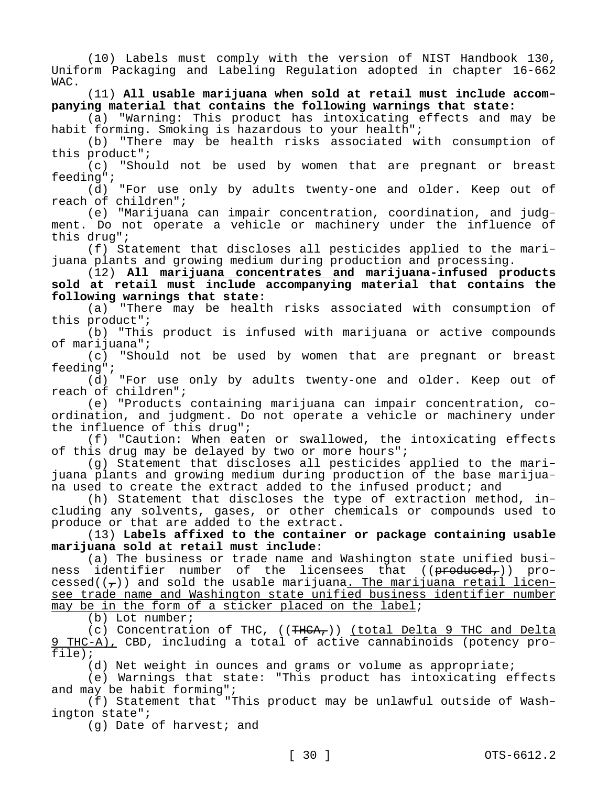(10) Labels must comply with the version of NIST Handbook 130, Uniform Packaging and Labeling Regulation adopted in chapter 16-662 WAC.

(11) **All usable marijuana when sold at retail must include accompanying material that contains the following warnings that state:**

(a) "Warning: This product has intoxicating effects and may be habit forming. Smoking is hazardous to your health";

(b) "There may be health risks associated with consumption of this product";

(c) "Should not be used by women that are pregnant or breast feeding";

(d) "For use only by adults twenty-one and older. Keep out of reach of children";

(e) "Marijuana can impair concentration, coordination, and judgment. Do not operate a vehicle or machinery under the influence of this drug";

(f) Statement that discloses all pesticides applied to the marijuana plants and growing medium during production and processing.

(12) **All marijuana concentrates and marijuana-infused products sold at retail must include accompanying material that contains the following warnings that state:**

(a) "There may be health risks associated with consumption of this product";

(b) "This product is infused with marijuana or active compounds of marijuana";

(c) "Should not be used by women that are pregnant or breast feeding";

(d) "For use only by adults twenty-one and older. Keep out of reach of children";

(e) "Products containing marijuana can impair concentration, coordination, and judgment. Do not operate a vehicle or machinery under the influence of this drug";

(f) "Caution: When eaten or swallowed, the intoxicating effects of this drug may be delayed by two or more hours";

(g) Statement that discloses all pesticides applied to the marijuana plants and growing medium during production of the base marijuana used to create the extract added to the infused product; and

(h) Statement that discloses the type of extraction method, including any solvents, gases, or other chemicals or compounds used to produce or that are added to the extract.

(13) **Labels affixed to the container or package containing usable marijuana sold at retail must include:**

(a) The business or trade name and Washington state unified business identifier number of the licensees that  $((*preduced*)')$  processed( $(\tau)$ ) and sold the usable marijuana<u>. The marijuana retail licen-</u> see trade name and Washington state unified business identifier number may be in the form of a sticker placed on the label;

(b) Lot number;

(c) Concentration of THC,  $((THCA<sub>r</sub>))$  (total Delta 9 THC and Delta 9 THC-A), CBD, including a total of active cannabinoids (potency profile);

(d) Net weight in ounces and grams or volume as appropriate;

(e) Warnings that state: "This product has intoxicating effects and may be habit forming";

(f) Statement that "This product may be unlawful outside of Washington state";

(g) Date of harvest; and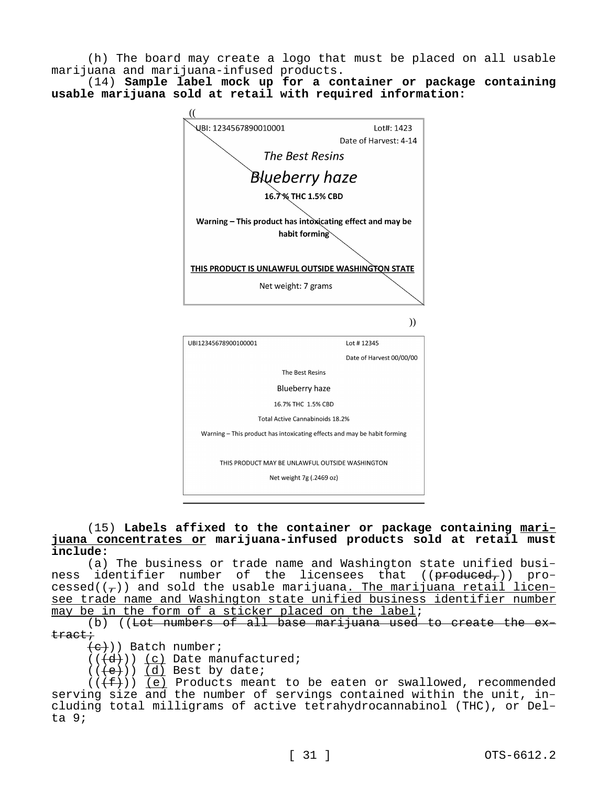(h) The board may create a logo that must be placed on all usable marijuana and marijuana-infused products.

(14) **Sample label mock up for a container or package containing usable marijuana sold at retail with required information:**



## (15) **Labels affixed to the container or package containing marijuana concentrates or marijuana-infused products sold at retail must include:**

(a) The business or trade name and Washington state unified business identifier number of the licensees that  $((\text{preduced}_r))$  processed( $(\tau)$ ) and sold the usable marijuana. The marijuana retail licensee trade name and Washington state unified business identifier number may be in the form of a sticker placed on the label;

(b) ((Lot numbers of all base marijuana used to create the  $ex$ tract;

 $\{e\})$ ) Batch number;

 $((\overline{d}))$   $(c)$  Date manufactured;

 $((e))$   $(d)$  Best by date;

 $((\langle f\rangle)(f))$  (e) Products meant to be eaten or swallowed, recommended serving size and the number of servings contained within the unit, including total milligrams of active tetrahydrocannabinol (THC), or Delta 9;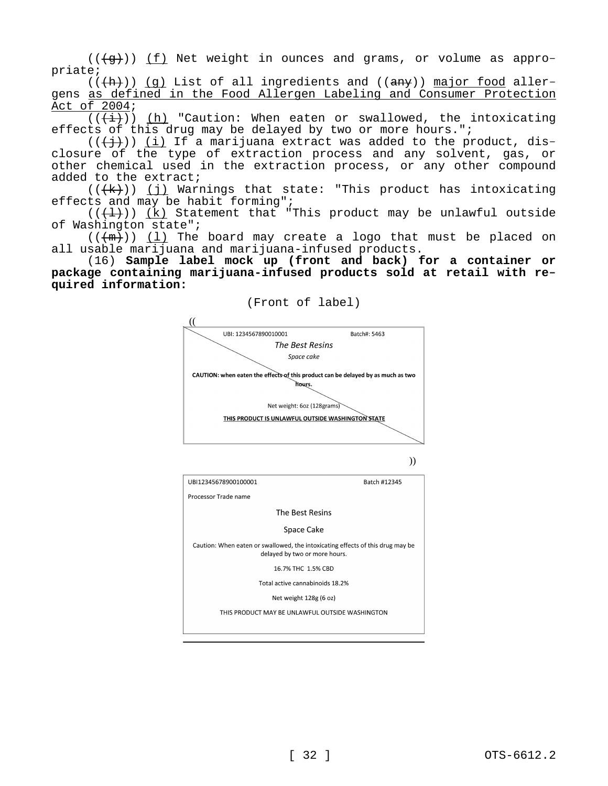$((\langle q \rangle))$  (f) Net weight in ounces and grams, or volume as appropriate;

 $((+h))$  (q) List of all ingredients and (( $amy$ )) major food allergens as defined in the Food Allergen Labeling and Consumer Protection Act of 2004;

 $((+i))$  (h) "Caution: When eaten or swallowed, the intoxicating effects of this drug may be delayed by two or more hours.";

 $((+\frac{1}{2}))$  (i) If a marijuana extract was added to the product, disclosure of the type of extraction process and any solvent, gas, or other chemical used in the extraction process, or any other compound added to the extract;

 $((+k))$  (j) Warnings that state: "This product has intoxicating effects and may be habit forming";

 $((+1))$  (k) Statement that "This product may be unlawful outside of Washington state";

 $((+m))$  (1) The board may create a logo that must be placed on all usable marijuana and marijuana-infused products.

(16) **Sample label mock up (front and back) for a container or package containing marijuana-infused products sold at retail with required information:**



(Front of label)

))

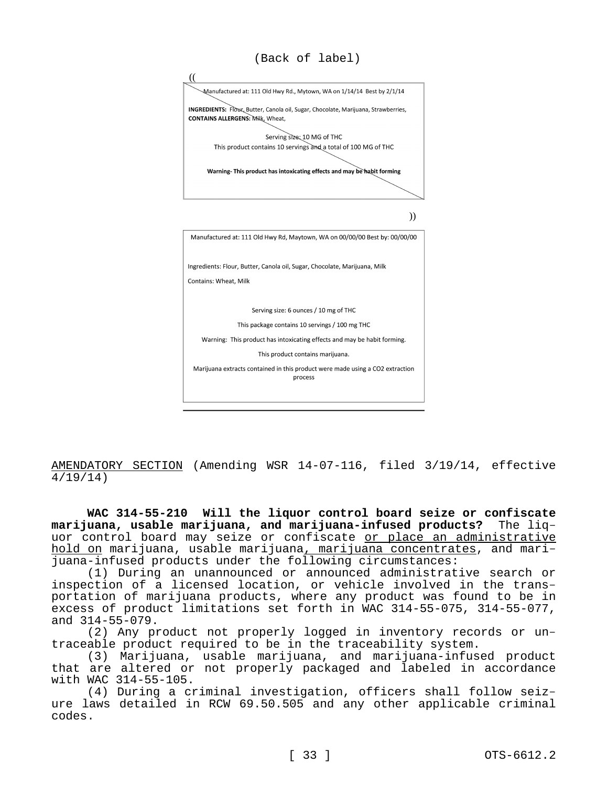

AMENDATORY SECTION (Amending WSR 14-07-116, filed 3/19/14, effective 4/19/14)

**WAC 314-55-210 Will the liquor control board seize or confiscate marijuana, usable marijuana, and marijuana-infused products?** The liquor control board may seize or confiscate or place an administrative hold on marijuana, usable marijuana, marijuana concentrates, and marijuana-infused products under the following circumstances:

(1) During an unannounced or announced administrative search or inspection of a licensed location, or vehicle involved in the transportation of marijuana products, where any product was found to be in excess of product limitations set forth in WAC 314-55-075, 314-55-077, and 314-55-079.

(2) Any product not properly logged in inventory records or untraceable product required to be in the traceability system.

(3) Marijuana, usable marijuana, and marijuana-infused product that are altered or not properly packaged and labeled in accordance with WAC 314-55-105.

(4) During a criminal investigation, officers shall follow seizure laws detailed in RCW 69.50.505 and any other applicable criminal codes.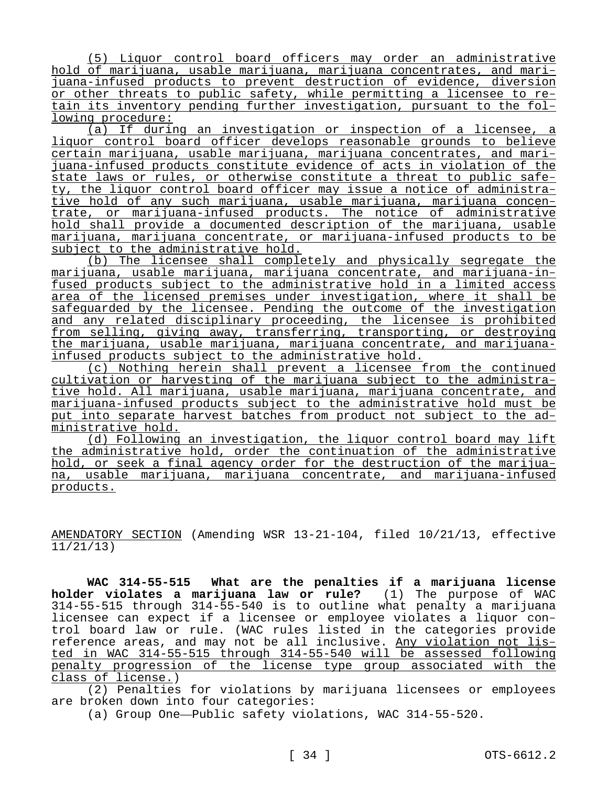(5) Liquor control board officers may order an administrative hold of marijuana, usable marijuana, marijuana concentrates, and marijuana-infused products to prevent destruction of evidence, diversion or other threats to public safety, while permitting a licensee to retain its inventory pending further investigation, pursuant to the following procedure:

(a) If during an investigation or inspection of a licensee, a liquor control board officer develops reasonable grounds to believe certain marijuana, usable marijuana, marijuana concentrates, and marijuana-infused products constitute evidence of acts in violation of the state laws or rules, or otherwise constitute a threat to public safety, the liquor control board officer may issue a notice of administrative hold of any such marijuana, usable marijuana, marijuana concentrate, or marijuana-infused products. The notice of administrative hold shall provide a documented description of the marijuana, usable marijuana, marijuana concentrate, or marijuana-infused products to be subject to the administrative hold.

(b) The licensee shall completely and physically segregate the marijuana, usable marijuana, marijuana concentrate, and marijuana-infused products subject to the administrative hold in a limited access area of the licensed premises under investigation, where it shall be safeguarded by the licensee. Pending the outcome of the investigation and any related disciplinary proceeding, the licensee is prohibited from selling, giving away, transferring, transporting, or destroying the marijuana, usable marijuana, marijuana concentrate, and marijuanainfused products subject to the administrative hold.

(c) Nothing herein shall prevent a licensee from the continued cultivation or harvesting of the marijuana subject to the administrative hold. All marijuana, usable marijuana, marijuana concentrate, and marijuana-infused products subject to the administrative hold must be put into separate harvest batches from product not subject to the administrative hold.

(d) Following an investigation, the liquor control board may lift the administrative hold, order the continuation of the administrative hold, or seek a final agency order for the destruction of the marijuana, usable marijuana, marijuana concentrate, and marijuana-infused products.

AMENDATORY SECTION (Amending WSR 13-21-104, filed 10/21/13, effective 11/21/13)

**WAC 314-55-515 What are the penalties if a marijuana license holder violates a marijuana law or rule?** (1) The purpose of WAC 314-55-515 through 314-55-540 is to outline what penalty a marijuana licensee can expect if a licensee or employee violates a liquor control board law or rule. (WAC rules listed in the categories provide reference areas, and may not be all inclusive. Any violation not listed in WAC 314-55-515 through 314-55-540 will be assessed following penalty progression of the license type group associated with the class of license.)

(2) Penalties for violations by marijuana licensees or employees are broken down into four categories:

(a) Group One—Public safety violations, WAC 314-55-520.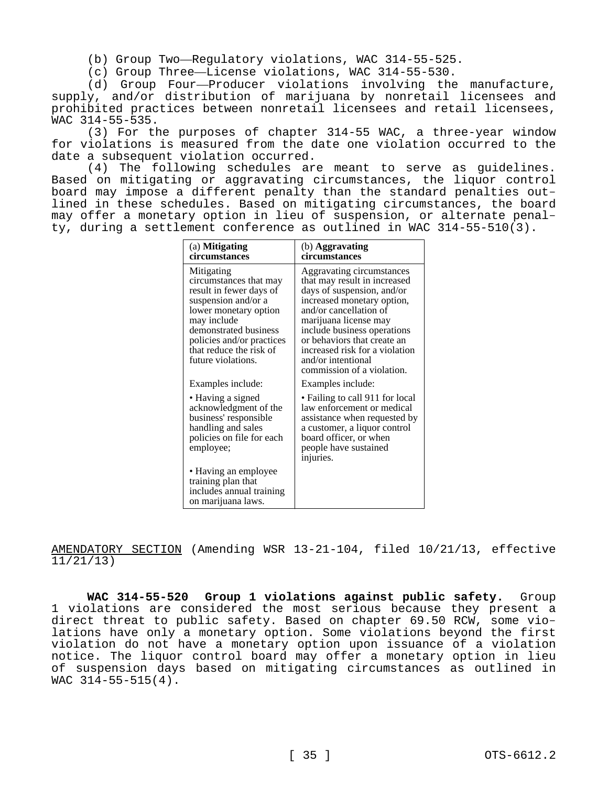(b) Group Two—Regulatory violations, WAC 314-55-525.

(c) Group Three—License violations, WAC 314-55-530.

(d) Group Four—Producer violations involving the manufacture, supply, and/or distribution of marijuana by nonretail licensees and prohibited practices between nonretail licensees and retail licensees, WAC 314-55-535.

(3) For the purposes of chapter 314-55 WAC, a three-year window for violations is measured from the date one violation occurred to the date a subsequent violation occurred.

(4) The following schedules are meant to serve as guidelines. Based on mitigating or aggravating circumstances, the liquor control board may impose a different penalty than the standard penalties outlined in these schedules. Based on mitigating circumstances, the board may offer a monetary option in lieu of suspension, or alternate penalty, during a settlement conference as outlined in WAC 314-55-510(3).

| (a) <b>Mitigating</b><br>circumstances                                                                                                                                                                                                | (b) Aggravating<br>circumstances                                                                                                                                                                                                                                                                                             |
|---------------------------------------------------------------------------------------------------------------------------------------------------------------------------------------------------------------------------------------|------------------------------------------------------------------------------------------------------------------------------------------------------------------------------------------------------------------------------------------------------------------------------------------------------------------------------|
| Mitigating<br>circumstances that may<br>result in fewer days of<br>suspension and/or a<br>lower monetary option<br>may include<br>demonstrated business<br>policies and/or practices<br>that reduce the risk of<br>future violations. | Aggravating circumstances<br>that may result in increased<br>days of suspension, and/or<br>increased monetary option,<br>and/or cancellation of<br>marijuana license may<br>include business operations<br>or behaviors that create an<br>increased risk for a violation<br>and/or intentional<br>commission of a violation. |
| Examples include:                                                                                                                                                                                                                     | Examples include:                                                                                                                                                                                                                                                                                                            |
| • Having a signed<br>acknowledgment of the<br>business' responsible<br>handling and sales<br>policies on file for each<br>employee;                                                                                                   | • Failing to call 911 for local<br>law enforcement or medical<br>assistance when requested by<br>a customer, a liquor control<br>board officer, or when<br>people have sustained<br>injuries.                                                                                                                                |
| • Having an employee<br>training plan that<br>includes annual training<br>on marijuana laws.                                                                                                                                          |                                                                                                                                                                                                                                                                                                                              |

AMENDATORY SECTION (Amending WSR 13-21-104, filed 10/21/13, effective 11/21/13)

**WAC 314-55-520 Group 1 violations against public safety.** Group 1 violations are considered the most serious because they present a direct threat to public safety. Based on chapter 69.50 RCW, some violations have only a monetary option. Some violations beyond the first violation do not have a monetary option upon issuance of a violation notice. The liquor control board may offer a monetary option in lieu of suspension days based on mitigating circumstances as outlined in WAC 314-55-515(4).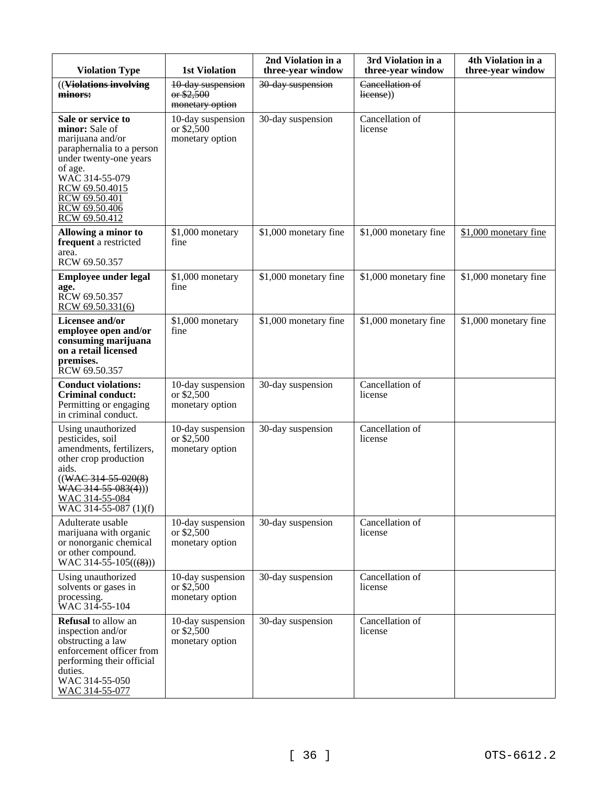| <b>Violation Type</b>                                                                                                                                                                                             | <b>1st Violation</b>                                | 2nd Violation in a<br>three-year window | 3rd Violation in a<br>three-year window | 4th Violation in a<br>three-year window |
|-------------------------------------------------------------------------------------------------------------------------------------------------------------------------------------------------------------------|-----------------------------------------------------|-----------------------------------------|-----------------------------------------|-----------------------------------------|
| ((Violations involving)<br>minors:                                                                                                                                                                                | 10-day suspension<br>$-$ \$2,500<br>monetary option | 30-day suspension                       | Cancellation of<br>license))            |                                         |
| Sale or service to<br>minor: Sale of<br>marijuana and/or<br>paraphernalia to a person<br>under twenty-one years<br>of age.<br>WAC 314-55-079<br>RCW 69.50.4015<br>RCW 69.50.401<br>RCW 69.50.406<br>RCW 69.50.412 | 10-day suspension<br>or \$2,500<br>monetary option  | 30-day suspension                       | Cancellation of<br>license              |                                         |
| Allowing a minor to<br>frequent a restricted<br>area.<br>RCW 69.50.357                                                                                                                                            | \$1,000 monetary<br>fine                            | \$1,000 monetary fine                   | \$1,000 monetary fine                   | \$1,000 monetary fine                   |
| <b>Employee under legal</b><br>age.<br>RCW 69.50.357<br>RCW 69.50.331(6)                                                                                                                                          | \$1,000 monetary<br>fine                            | \$1,000 monetary fine                   | \$1,000 monetary fine                   | \$1,000 monetary fine                   |
| Licensee and/or<br>employee open and/or<br>consuming marijuana<br>on a retail licensed<br>premises.<br>RCW 69.50.357                                                                                              | \$1,000 monetary<br>fine                            | \$1,000 monetary fine                   | \$1,000 monetary fine                   | \$1,000 monetary fine                   |
| <b>Conduct violations:</b><br><b>Criminal conduct:</b><br>Permitting or engaging<br>in criminal conduct.                                                                                                          | 10-day suspension<br>or \$2,500<br>monetary option  | 30-day suspension                       | Cancellation of<br>license              |                                         |
| Using unauthorized<br>pesticides, soil<br>amendments, fertilizers,<br>other crop production<br>aids.<br>$((WAC-314-55-020(8))$<br>$WAC$ 314-55-083(4)))<br>WAC 314-55-084<br>WAC 314-55-087 (1)(f)                | 10-day suspension<br>or \$2,500<br>monetary option  | 30-day suspension                       | Cancellation of<br>license              |                                         |
| Adulterate usable<br>marijuana with organic<br>or nonorganic chemical<br>or other compound.<br>WAC 314-55-105( $(\frac{8}{2})$ )                                                                                  | 10-day suspension<br>or $$2,500$<br>monetary option | 30-day suspension                       | Cancellation of<br>license              |                                         |
| Using unauthorized<br>solvents or gases in<br>processing.<br>WAC 314-55-104                                                                                                                                       | 10-day suspension<br>or \$2,500<br>monetary option  | 30-day suspension                       | Cancellation of<br>license              |                                         |
| <b>Refusal</b> to allow an<br>inspection and/or<br>obstructing a law<br>enforcement officer from<br>performing their official<br>duties.<br>WAC 314-55-050<br>WAC 314-55-077                                      | 10-day suspension<br>or \$2,500<br>monetary option  | 30-day suspension                       | Cancellation of<br>license              |                                         |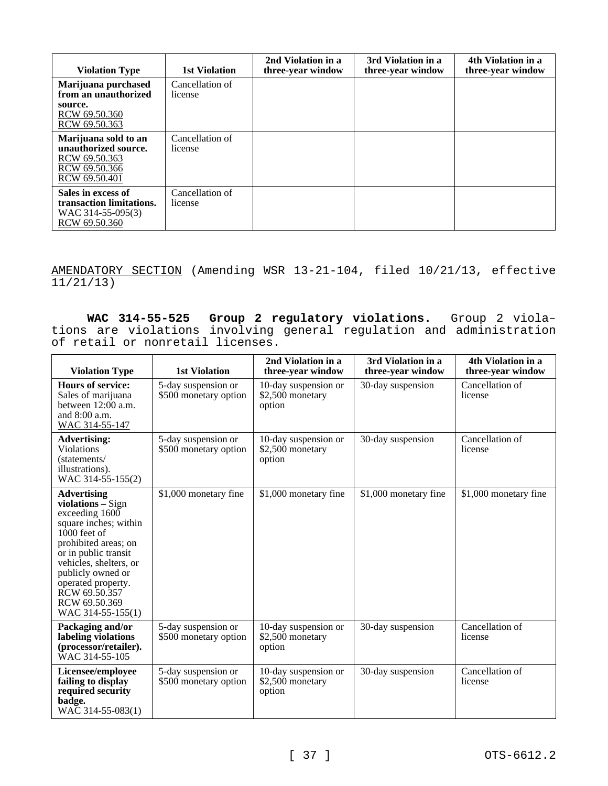| <b>Violation Type</b>                                                                           | 1st Violation              | 2nd Violation in a<br>three-year window | 3rd Violation in a<br>three-year window | 4th Violation in a<br>three-year window |
|-------------------------------------------------------------------------------------------------|----------------------------|-----------------------------------------|-----------------------------------------|-----------------------------------------|
| Marijuana purchased<br>from an unauthorized                                                     | Cancellation of<br>license |                                         |                                         |                                         |
| source.<br>RCW 69.50.360<br>RCW 69.50.363                                                       |                            |                                         |                                         |                                         |
| Marijuana sold to an<br>unauthorized source.<br>RCW 69.50.363<br>RCW 69.50.366<br>RCW 69.50.401 | Cancellation of<br>license |                                         |                                         |                                         |
| Sales in excess of<br>transaction limitations.<br>WAC 314-55-095(3)<br>RCW 69.50.360            | Cancellation of<br>license |                                         |                                         |                                         |

AMENDATORY SECTION (Amending WSR 13-21-104, filed 10/21/13, effective 11/21/13)

**WAC 314-55-525 Group 2 regulatory violations.** Group 2 violations are violations involving general regulation and administration of retail or nonretail licenses.

| <b>Violation Type</b>                                                                                                                                                                                                                                                              | <b>1st Violation</b>                         | 2nd Violation in a<br>three-year window            | 3rd Violation in a<br>three-year window | 4th Violation in a<br>three-year window |
|------------------------------------------------------------------------------------------------------------------------------------------------------------------------------------------------------------------------------------------------------------------------------------|----------------------------------------------|----------------------------------------------------|-----------------------------------------|-----------------------------------------|
| <b>Hours of service:</b><br>Sales of marijuana<br>between 12:00 a.m.<br>and $8:00$ a.m.<br>WAC 314-55-147                                                                                                                                                                          | 5-day suspension or<br>\$500 monetary option | 10-day suspension or<br>\$2,500 monetary<br>option | 30-day suspension                       | Cancellation of<br>license              |
| <b>Advertising:</b><br><b>Violations</b><br>(statements/<br>illustrations).<br>WAC 314-55-155(2)                                                                                                                                                                                   | 5-day suspension or<br>\$500 monetary option | 10-day suspension or<br>\$2,500 monetary<br>option | 30-day suspension                       | Cancellation of<br>license              |
| <b>Advertising</b><br>violations - Sign<br>exceeding $1600$<br>square inches; within<br>$1000$ feet of<br>prohibited areas; on<br>or in public transit<br>vehicles, shelters, or<br>publicly owned or<br>operated property.<br>RCW 69.50.357<br>RCW 69.50.369<br>WAC 314-55-155(1) | \$1,000 monetary fine                        | \$1,000 monetary fine                              | \$1,000 monetary fine                   | \$1,000 monetary fine                   |
| Packaging and/or<br>labeling violations<br>(processor/retailer).<br>WAC 314-55-105                                                                                                                                                                                                 | 5-day suspension or<br>\$500 monetary option | 10-day suspension or<br>\$2,500 monetary<br>option | 30-day suspension                       | Cancellation of<br>license              |
| Licensee/employee<br>failing to display<br>required security<br>badge.<br>WAC 314-55-083(1)                                                                                                                                                                                        | 5-day suspension or<br>\$500 monetary option | 10-day suspension or<br>\$2,500 monetary<br>option | 30-day suspension                       | Cancellation of<br>license              |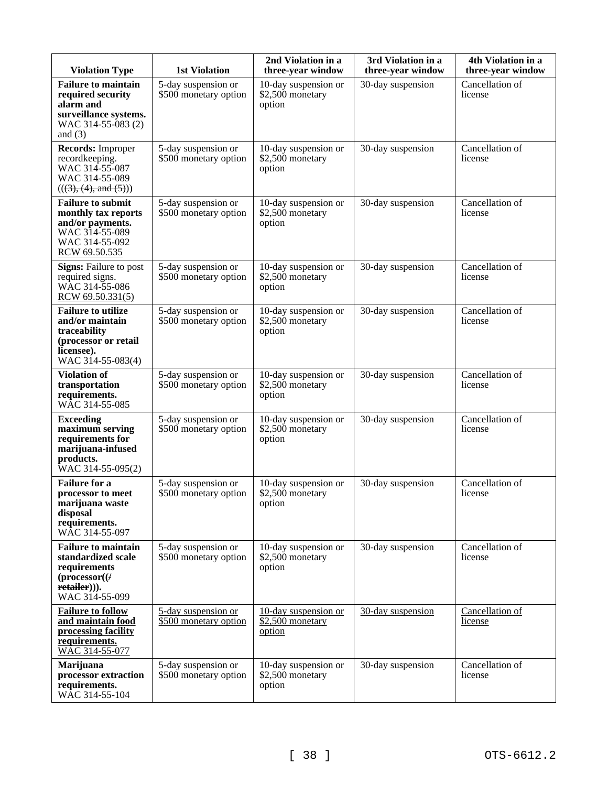| <b>Violation Type</b>                                                                                                         | <b>1st Violation</b>                         | 2nd Violation in a<br>three-year window            | 3rd Violation in a<br>three-year window | 4th Violation in a<br>three-year window |
|-------------------------------------------------------------------------------------------------------------------------------|----------------------------------------------|----------------------------------------------------|-----------------------------------------|-----------------------------------------|
| <b>Failure to maintain</b><br>required security<br>alarm and<br>surveillance systems.<br>WAC 314-55-083 (2)<br>and $(3)$      | 5-day suspension or<br>\$500 monetary option | 10-day suspension or<br>\$2,500 monetary<br>option | 30-day suspension                       | Cancellation of<br>license              |
| Records: Improper<br>recordkeeping.<br>WAC 314-55-087<br>WAC 314-55-089<br>(((3), (4), and (5)))                              | 5-day suspension or<br>\$500 monetary option | 10-day suspension or<br>\$2,500 monetary<br>option | 30-day suspension                       | Cancellation of<br>license              |
| <b>Failure to submit</b><br>monthly tax reports<br>and/or payments.<br>WAC 314-55-089<br>WAC 314-55-092<br>RCW 69.50.535      | 5-day suspension or<br>\$500 monetary option | 10-day suspension or<br>\$2,500 monetary<br>option | 30-day suspension                       | Cancellation of<br>license              |
| <b>Signs:</b> Failure to post<br>required signs.<br>WAC 314-55-086<br>RCW 69.50.331(5)                                        | 5-day suspension or<br>\$500 monetary option | 10-day suspension or<br>\$2,500 monetary<br>option | 30-day suspension                       | Cancellation of<br>license              |
| <b>Failure to utilize</b><br>and/or maintain<br>traceability<br>(processor or retail<br>licensee).<br>WAC 314-55-083(4)       | 5-day suspension or<br>\$500 monetary option | 10-day suspension or<br>\$2,500 monetary<br>option | 30-day suspension                       | Cancellation of<br>license              |
| <b>Violation of</b><br>transportation<br>requirements.<br>WĀC 314-55-085                                                      | 5-day suspension or<br>\$500 monetary option | 10-day suspension or<br>\$2,500 monetary<br>option | 30-day suspension                       | Cancellation of<br>license              |
| <b>Exceeding</b><br>maximum serving<br>requirements for<br>marijuana-infused<br>products.<br>WAC 314-55-095(2)                | 5-day suspension or<br>\$500 monetary option | 10-day suspension or<br>\$2,500 monetary<br>option | 30-day suspension                       | Cancellation of<br>license              |
| <b>Failure</b> for a<br>processor to meet<br>marijuana waste<br>disposal<br>requirements.<br>WAC 314-55-097                   | 5-day suspension or<br>\$500 monetary option | 10-day suspension or<br>\$2,500 monetary<br>option | 30-day suspension                       | Cancellation of<br>license              |
| <b>Failure to maintain</b><br>standardized scale<br>requirements<br>$(\mathbf{processor}()$<br>retailer))).<br>WAC 314-55-099 | 5-day suspension or<br>\$500 monetary option | 10-day suspension or<br>\$2,500 monetary<br>option | 30-day suspension                       | Cancellation of<br>license              |
| <b>Failure to follow</b><br>and maintain food<br>processing facility<br>requirements.<br>WAC 314-55-077                       | 5-day suspension or<br>\$500 monetary option | 10-day suspension or<br>\$2,500 monetary<br>option | 30-day suspension                       | Cancellation of<br>license              |
| Marijuana<br>processor extraction<br>requirements.<br>WĀC 314-55-104                                                          | 5-day suspension or<br>\$500 monetary option | 10-day suspension or<br>\$2,500 monetary<br>option | 30-day suspension                       | Cancellation of<br>license              |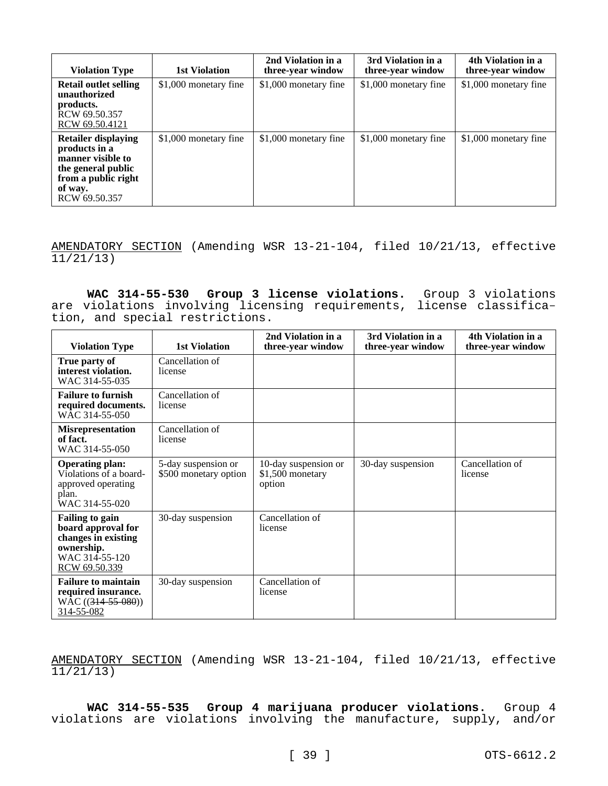| <b>Violation Type</b>                                                                                                                     | 1st Violation         | 2nd Violation in a<br>three-year window | 3rd Violation in a<br>three-year window | 4th Violation in a<br>three-year window |
|-------------------------------------------------------------------------------------------------------------------------------------------|-----------------------|-----------------------------------------|-----------------------------------------|-----------------------------------------|
| Retail outlet selling<br>unauthorized<br>products.<br>RCW 69.50.357<br>RCW 69.50.4121                                                     | \$1,000 monetary fine | \$1,000 monetary fine                   | \$1,000 monetary fine                   | \$1,000 monetary fine                   |
| <b>Retailer displaying</b><br>products in a<br>manner visible to<br>the general public<br>from a public right<br>of way.<br>RCW 69.50.357 | \$1,000 monetary fine | \$1,000 monetary fine                   | \$1,000 monetary fine                   | \$1,000 monetary fine                   |

AMENDATORY SECTION (Amending WSR 13-21-104, filed 10/21/13, effective  $11/21/13)$ 

**WAC 314-55-530 Group 3 license violations.** Group 3 violations are violations involving licensing requirements, license classification, and special restrictions.

| <b>Violation Type</b>                                                                                                | 1st Violation                                | 2nd Violation in a<br>three-year window            | 3rd Violation in a<br>three-year window | 4th Violation in a<br>three-year window |
|----------------------------------------------------------------------------------------------------------------------|----------------------------------------------|----------------------------------------------------|-----------------------------------------|-----------------------------------------|
| True party of<br>interest violation.<br>WAC 314-55-035                                                               | Cancellation of<br>license                   |                                                    |                                         |                                         |
| <b>Failure to furnish</b><br>required documents.<br>W <sub>AC</sub> 314-55-050                                       | Cancellation of<br>license                   |                                                    |                                         |                                         |
| <b>Misrepresentation</b><br>of fact.<br>WAC 314-55-050                                                               | Cancellation of<br>license                   |                                                    |                                         |                                         |
| <b>Operating plan:</b><br>Violations of a board-<br>approved operating<br>plan.<br>WAC 314-55-020                    | 5-day suspension or<br>\$500 monetary option | 10-day suspension or<br>\$1,500 monetary<br>option | 30-day suspension                       | Cancellation of<br>license              |
| <b>Failing to gain</b><br>board approval for<br>changes in existing<br>ownership.<br>WAC 314-55-120<br>RCW 69.50.339 | 30-day suspension                            | Cancellation of<br>license                         |                                         |                                         |
| <b>Failure to maintain</b><br>required insurance.<br>$WAC ((314-55-080))$<br>314-55-082                              | 30-day suspension                            | Cancellation of<br>license                         |                                         |                                         |

AMENDATORY SECTION (Amending WSR 13-21-104, filed 10/21/13, effective 11/21/13)

**WAC 314-55-535 Group 4 marijuana producer violations.** Group 4 violations are violations involving the manufacture, supply, and/or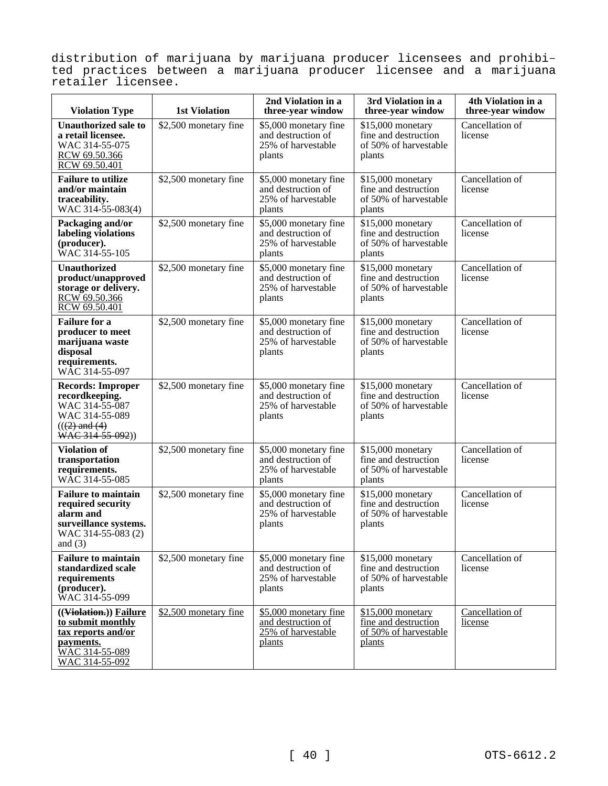distribution of marijuana by marijuana producer licensees and prohibited practices between a marijuana producer licensee and a marijuana retailer licensee.

| <b>Violation Type</b>                                                                                                    | <b>1st Violation</b>  | 2nd Violation in a<br>three-year window                                     | 3rd Violation in a<br>three-year window                                       | 4th Violation in a<br>three-year window |
|--------------------------------------------------------------------------------------------------------------------------|-----------------------|-----------------------------------------------------------------------------|-------------------------------------------------------------------------------|-----------------------------------------|
| <b>Unauthorized sale to</b><br>a retail licensee.<br>WAC 314-55-075<br>RCW 69.50.366<br>RCW 69.50.401                    | \$2,500 monetary fine | \$5,000 monetary fine<br>and destruction of<br>25% of harvestable<br>plants | \$15,000 monetary<br>fine and destruction<br>of 50% of harvestable<br>plants  | Cancellation of<br>license              |
| <b>Failure to utilize</b><br>and/or maintain<br>traceability.<br>WAC 314-55-083(4)                                       | \$2,500 monetary fine | \$5,000 monetary fine<br>and destruction of<br>25% of harvestable<br>plants | \$15,000 monetary<br>fine and destruction<br>of 50% of harvestable<br>plants  | Cancellation of<br>license              |
| Packaging and/or<br>labeling violations<br>(producer).<br><b>WAC 314-55-105</b>                                          | \$2,500 monetary fine | \$5,000 monetary fine<br>and destruction of<br>25% of harvestable<br>plants | \$15,000 monetary<br>fine and destruction<br>of 50% of harvestable<br>plants  | Cancellation of<br>license              |
| <b>Unauthorized</b><br>product/unapproved<br>storage or delivery.<br>RCW 69.50.366<br>RCW 69.50.401                      | \$2,500 monetary fine | \$5,000 monetary fine<br>and destruction of<br>25% of harvestable<br>plants | \$15,000 monetary<br>fine and destruction<br>of 50% of harvestable<br>plants  | Cancellation of<br>license              |
| <b>Failure</b> for a<br>producer to meet<br>marijuana waste<br>disposal<br>requirements.<br>WAC 314-55-097               | \$2,500 monetary fine | \$5,000 monetary fine<br>and destruction of<br>25% of harvestable<br>plants | \$15,000 monetary<br>fine and destruction<br>of 50% of harvestable<br>plants  | Cancellation of<br>license              |
| <b>Records: Improper</b><br>recordkeeping.<br>WAC 314-55-087<br>WAC 314-55-089<br>$((2)$ and $(4)$<br>WAC 314-55-092))   | \$2,500 monetary fine | \$5,000 monetary fine<br>and destruction of<br>25% of harvestable<br>plants | \$15,000 monetary<br>fine and destruction<br>of 50% of harvestable<br>plants  | Cancellation of<br>license              |
| <b>Violation of</b><br>transportation<br>requirements.<br>WAC 314-55-085                                                 | \$2,500 monetary fine | \$5,000 monetary fine<br>and destruction of<br>25% of harvestable<br>plants | \$15,000 monetary<br>fine and destruction<br>of 50% of harvestable<br>plants  | Cancellation of<br>license              |
| <b>Failure to maintain</b><br>required security<br>alarm and<br>surveillance systems.<br>WAC 314-55-083 (2)<br>and $(3)$ | \$2,500 monetary fine | \$5,000 monetary fine<br>and destruction of<br>25% of harvestable<br>plants | \$15,000 monetary<br>fine and destruction<br>of 50% of harvestable<br>plants  | Cancellation of<br>license              |
| <b>Failure to maintain</b><br>standardized scale<br>requirements<br>(producer).<br>WAC 314-55-099                        | \$2,500 monetary fine | \$5,000 monetary fine<br>and destruction of<br>25% of harvestable<br>plants | \$15,000 monetary<br>fine and destruction<br>of 50% of harvestable<br>plants  | Cancellation of<br>license              |
| ((Violation.)) Failure<br>to submit monthly<br>tax reports and/or<br>payments.<br>WAC 314-55-089<br>WAC 314-55-092       | \$2,500 monetary fine | \$5,000 monetary fine<br>and destruction of<br>25% of harvestable<br>plants | $$15,000$ monetary<br>fine and destruction<br>of 50% of harvestable<br>plants | Cancellation of<br>license              |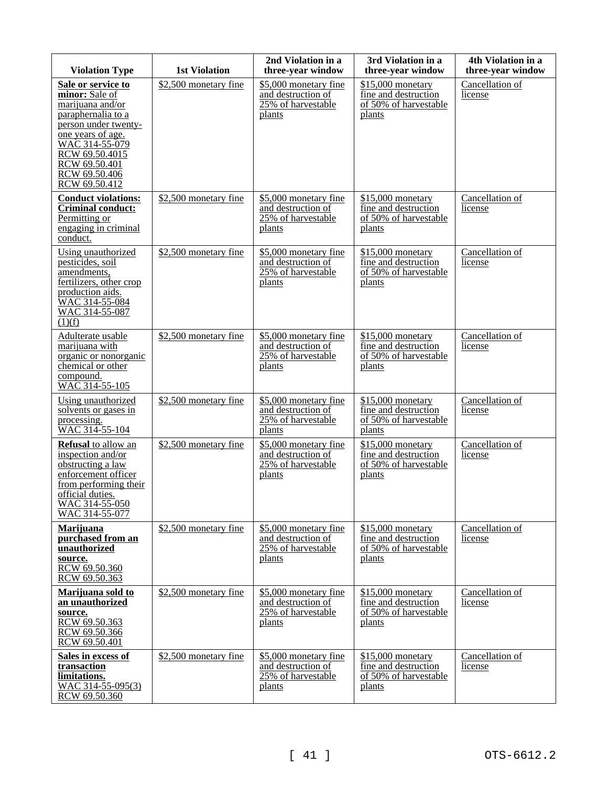| <b>Violation Type</b>                                                                                                                                                                                              | <b>1st Violation</b>  | 2nd Violation in a<br>three-year window                                       | 3rd Violation in a<br>three-year window                                      | 4th Violation in a<br>three-year window |
|--------------------------------------------------------------------------------------------------------------------------------------------------------------------------------------------------------------------|-----------------------|-------------------------------------------------------------------------------|------------------------------------------------------------------------------|-----------------------------------------|
| Sale or service to<br>minor: Sale of<br>marijuana and/or<br>paraphernalia to a<br>person under twenty-<br>one years of age.<br>WAC 314-55-079<br>RCW 69.50.4015<br>RCW 69.50.401<br>RCW 69.50.406<br>RCW 69.50.412 | \$2,500 monetary fine | \$5,000 monetary fine<br>and destruction of<br>25% of harvestable<br>plants   | \$15,000 monetary<br>fine and destruction<br>of 50% of harvestable<br>plants | Cancellation of<br>license              |
| <b>Conduct violations:</b><br><b>Criminal conduct:</b><br>Permitting or<br>engaging in criminal<br>conduct.                                                                                                        | \$2,500 monetary fine | \$5,000 monetary fine<br>and destruction of<br>25% of harvestable<br>plants   | \$15,000 monetary<br>fine and destruction<br>of 50% of harvestable<br>plants | Cancellation of<br>license              |
| Using unauthorized<br>pesticides, soil<br>amendments,<br>fertilizers, other crop<br>production aids.<br>WAC 314-55-084<br>WAC 314-55-087<br>(1)(f)                                                                 | \$2,500 monetary fine | \$5,000 monetary fine<br>and destruction of<br>$25%$ of harvestable<br>plants | \$15,000 monetary<br>fine and destruction<br>of 50% of harvestable<br>plants | Cancellation of<br>license              |
| Adulterate usable<br>marijuana with<br>organic or nonorganic<br>chemical or other<br>compound.<br>WAC 314-55-105                                                                                                   | \$2,500 monetary fine | \$5,000 monetary fine<br>and destruction of<br>25% of harvestable<br>plants   | \$15,000 monetary<br>fine and destruction<br>of 50% of harvestable<br>plants | Cancellation of<br>license              |
| Using unauthorized<br>solvents or gases in<br>processing.<br>WAC 314-55-104                                                                                                                                        | \$2,500 monetary fine | \$5,000 monetary fine<br>and destruction of<br>25% of harvestable<br>plants   | \$15,000 monetary<br>fine and destruction<br>of 50% of harvestable<br>plants | Cancellation of<br>license              |
| <b>Refusal</b> to allow an<br>inspection and/or<br>obstructing a law<br>enforcement officer<br>from performing their<br>official duties.<br>WAC 314-55-050<br>WAC 314-55-077                                       | \$2,500 monetary fine | \$5,000 monetary fine<br>and destruction of<br>25% of harvestable<br>plants   | \$15,000 monetary<br>fine and destruction<br>of 50% of harvestable<br>plants | Cancellation of<br>license              |
| Marijuana<br>purchased from an<br>unauthorized<br>source.<br>RCW 69.50.360<br>RCW 69.50.363                                                                                                                        | \$2,500 monetary fine | \$5,000 monetary fine<br>and destruction of<br>25% of harvestable<br>plants   | \$15,000 monetary<br>fine and destruction<br>of 50% of harvestable<br>plants | Cancellation of<br>license              |
| Marijuana sold to<br>an unauthorized<br>source.<br>RCW 69.50.363<br>RCW 69.50.366<br>RCW 69.50.401                                                                                                                 | \$2,500 monetary fine | \$5,000 monetary fine<br>and destruction of<br>25% of harvestable<br>plants   | \$15,000 monetary<br>fine and destruction<br>of 50% of harvestable<br>plants | Cancellation of<br>license              |
| Sales in excess of<br>transaction<br>limitations.<br>WAC 314-55-095(3)<br>RCW 69.50.360                                                                                                                            | \$2,500 monetary fine | \$5,000 monetary fine<br>and destruction of<br>25% of harvestable<br>plants   | \$15,000 monetary<br>fine and destruction<br>of 50% of harvestable<br>plants | Cancellation of<br>license              |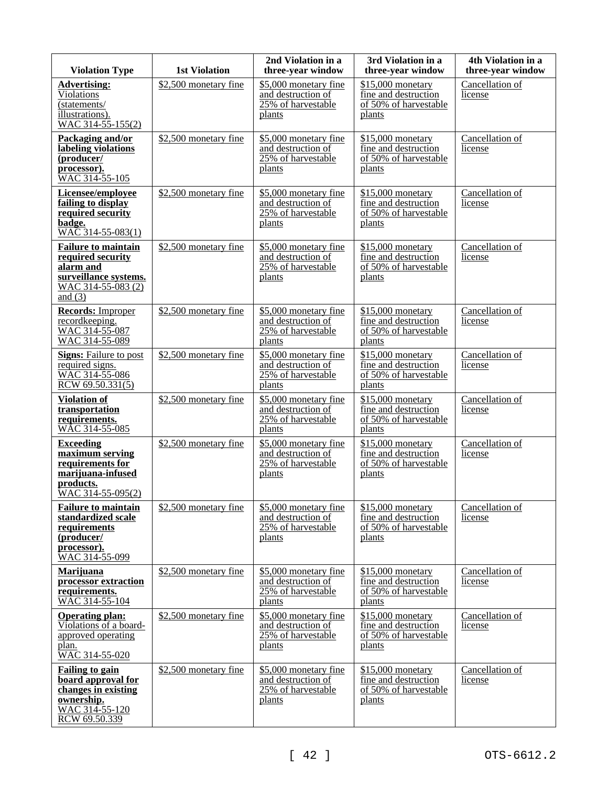| <b>Violation Type</b>                                                                                                    | <b>1st Violation</b>  | 2nd Violation in a<br>three-year window                                     | 3rd Violation in a<br>three-year window                                       | 4th Violation in a<br>three-year window |
|--------------------------------------------------------------------------------------------------------------------------|-----------------------|-----------------------------------------------------------------------------|-------------------------------------------------------------------------------|-----------------------------------------|
| <b>Advertising:</b><br>Violations<br>(statements/<br>illustrations).<br>WAC 314-55-155(2)                                | \$2,500 monetary fine | \$5,000 monetary fine<br>and destruction of<br>25% of harvestable<br>plants | \$15,000 monetary<br>fine and destruction<br>of 50% of harvestable<br>plants  | Cancellation of<br>license              |
| Packaging and/or<br>labeling violations<br>(producer/<br>processor).<br>WAC 314-55-105                                   | \$2,500 monetary fine | \$5,000 monetary fine<br>and destruction of<br>25% of harvestable<br>plants | \$15,000 monetary<br>fine and destruction<br>of 50% of harvestable<br>plants  | Cancellation of<br>license              |
| Licensee/employee<br>failing to display<br>required security<br>badge.<br>WAC 314-55-083(1)                              | \$2,500 monetary fine | \$5,000 monetary fine<br>and destruction of<br>25% of harvestable<br>plants | \$15,000 monetary<br>fine and destruction<br>of 50% of harvestable<br>plants  | Cancellation of<br>license              |
| <b>Failure to maintain</b><br>required security<br>alarm and<br>surveillance systems.<br>WAC 314-55-083 (2)<br>and $(3)$ | \$2,500 monetary fine | \$5,000 monetary fine<br>and destruction of<br>25% of harvestable<br>plants | \$15,000 monetary<br>fine and destruction<br>of 50% of harvestable<br>plants  | Cancellation of<br>license              |
| <b>Records:</b> Improper<br>recordkeeping.<br>WAC 314-55-087<br>WAC 314-55-089                                           | \$2,500 monetary fine | \$5,000 monetary fine<br>and destruction of<br>25% of harvestable<br>plants | \$15,000 monetary<br>fine and destruction<br>of 50% of harvestable<br>plants  | Cancellation of<br>license              |
| <b>Signs:</b> Failure to post<br>required signs.<br>WAC 314-55-086<br>RCW 69.50.331(5)                                   | \$2,500 monetary fine | \$5,000 monetary fine<br>and destruction of<br>25% of harvestable<br>plants | \$15,000 monetary<br>fine and destruction<br>of 50% of harvestable<br>plants  | Cancellation of<br>license              |
| <b>Violation of</b><br>transportation<br>requirements.<br>WAC 314-55-085                                                 | \$2,500 monetary fine | \$5,000 monetary fine<br>and destruction of<br>25% of harvestable<br>plants | \$15,000 monetary<br>fine and destruction<br>of 50% of harvestable<br>plants  | Cancellation of<br>license              |
| <b>Exceeding</b><br>maximum serving<br>requirements for<br>marijuana-infused<br>products.<br>$WAC$ 314-55-095(2)         | \$2,500 monetary fine | \$5,000 monetary fine<br>and destruction of<br>25% of harvestable<br>plants | \$15,000 monetary<br>fine and destruction<br>of 50% of harvestable<br>plants  | Cancellation of<br>license              |
| <b>Failure to maintain</b><br>standardized scale<br>requirements<br>(producer/<br>processor).<br>WAC 314-55-099          | \$2,500 monetary fine | \$5,000 monetary fine<br>and destruction of<br>25% of harvestable<br>plants | $$15,000$ monetary<br>fine and destruction<br>of 50% of harvestable<br>plants | Cancellation of<br>license              |
| Marijuana<br>processor extraction<br>requirements.<br>$WAC 314 - 55 - 104$                                               | \$2,500 monetary fine | \$5,000 monetary fine<br>and destruction of<br>25% of harvestable<br>plants | $$15,000$ monetary<br>fine and destruction<br>of 50% of harvestable<br>plants | Cancellation of<br>license              |
| <b>Operating plan:</b><br>Violations of a board-<br>approved operating<br>plan.<br>WAC 314-55-020                        | \$2,500 monetary fine | \$5,000 monetary fine<br>and destruction of<br>25% of harvestable<br>plants | $$15,000$ monetary<br>fine and destruction<br>of 50% of harvestable<br>plants | Cancellation of<br>license              |
| <b>Failing to gain</b><br>board approval for<br>changes in existing<br>ownership.<br>WAC 314-55-120<br>RCW 69.50.339     | \$2,500 monetary fine | \$5,000 monetary fine<br>and destruction of<br>25% of harvestable<br>plants | $$15,000$ monetary<br>fine and destruction<br>of 50% of harvestable<br>plants | Cancellation of<br>license              |